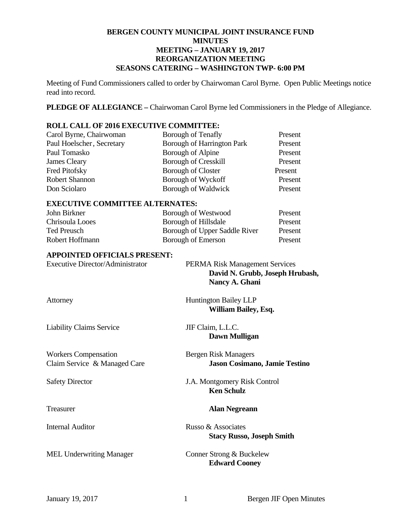#### **BERGEN COUNTY MUNICIPAL JOINT INSURANCE FUND MINUTES MEETING – JANUARY 19, 2017 REORGANIZATION MEETING SEASONS CATERING – WASHINGTON TWP- 6:00 PM**

Meeting of Fund Commissioners called to order by Chairwoman Carol Byrne. Open Public Meetings notice read into record.

**PLEDGE OF ALLEGIANCE –** Chairwoman Carol Byrne led Commissioners in the Pledge of Allegiance.

#### **ROLL CALL OF 2016 EXECUTIVE COMMITTEE:**

| Carol Byrne, Chairwoman   | Borough of Tenafly                | Present |
|---------------------------|-----------------------------------|---------|
| Paul Hoelscher, Secretary | <b>Borough of Harrington Park</b> | Present |
| Paul Tomasko              | Borough of Alpine                 | Present |
| <b>James Cleary</b>       | <b>Borough of Cresskill</b>       | Present |
| <b>Fred Pitofsky</b>      | <b>Borough of Closter</b>         | Present |
| Robert Shannon            | Borough of Wyckoff                | Present |
| Don Sciolaro              | Borough of Waldwick               | Present |

#### **EXECUTIVE COMMITTEE ALTERNATES:**

| John Birkner    | Borough of Westwood           | Present |
|-----------------|-------------------------------|---------|
| Chrisoula Looes | Borough of Hillsdale          | Present |
| Ted Preusch     | Borough of Upper Saddle River | Present |
| Robert Hoffmann | Borough of Emerson            | Present |

#### **APPOINTED OFFICIALS PRESENT:**

| <b>Executive Director/Administrator</b>                     | <b>PERMA Risk Management Services</b><br>David N. Grubb, Joseph Hrubash,<br>Nancy A. Ghani |
|-------------------------------------------------------------|--------------------------------------------------------------------------------------------|
| Attorney                                                    | <b>Huntington Bailey LLP</b><br>William Bailey, Esq.                                       |
| <b>Liability Claims Service</b>                             | JIF Claim, L.L.C.<br>Dawn Mulligan                                                         |
| <b>Workers Compensation</b><br>Claim Service & Managed Care | Bergen Risk Managers<br>Jason Cosimano, Jamie Testino                                      |
| <b>Safety Director</b>                                      | J.A. Montgomery Risk Control<br><b>Ken Schulz</b>                                          |
| Treasurer                                                   | <b>Alan Negreann</b>                                                                       |
| <b>Internal Auditor</b>                                     | Russo & Associates<br><b>Stacy Russo, Joseph Smith</b>                                     |
| <b>MEL Underwriting Manager</b>                             | Conner Strong & Buckelew<br><b>Edward Cooney</b>                                           |
|                                                             |                                                                                            |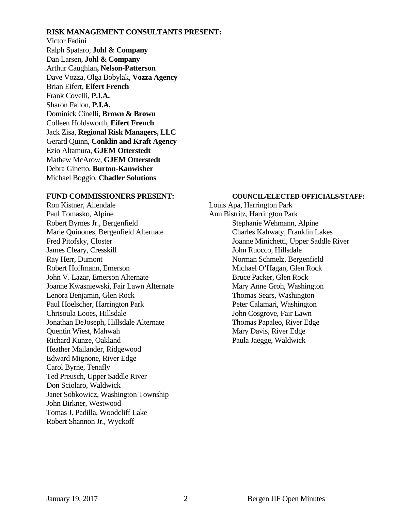#### **RISK MANAGEMENT CONSULTANTS PRESENT:**

Victor Fadini Ralph Spataro, **Johl & Company** Dan Larsen, **Johl & Company**  Arthur Caughlan**, Nelson-Patterson** Dave Vozza, Olga Bobylak, **Vozza Agency**  Brian Eifert, **Eifert French** Frank Covelli, **P.I.A.**  Sharon Fallon, **P.I.A.**  Dominick Cinelli, **Brown & Brown** Colleen Holdsworth, **Eifert French** Jack Zisa, **Regional Risk Managers, LLC**  Gerard Quinn, **Conklin and Kraft Agency**  Ezio Altamura, **GJEM Otterstedt**  Mathew McArow, **GJEM Otterstedt**  Debra Ginetto, **Burton-Kanwisher**  Michael Boggio, **Chadler Solutions** 

Ron Kistner, Allendale Louis Apa, Harrington Park Paul Tomasko, Alpine Ann Bistritz, Harrington Park Robert Byrnes Jr., Bergenfield Stephanie Wehmann, Alpine Marie Quinones, Bergenfield Alternate Charles Kahwaty, Franklin Lakes James Cleary, Cresskill John Ruocco, Hillsdale Ray Herr, Dumont Norman Schmelz, Bergenfield Robert Hoffmann, Emerson Michael O'Hagan, Glen Rock John V. Lazar, Emerson Alternate Bruce Packer, Glen Rock Joanne Kwasniewski, Fair Lawn Alternate Mary Anne Groh, Washington Lenora Benjamin, Glen Rock Thomas Sears, Washington Paul Hoelscher, Harrington Park Peter Calamari, Washington Chrisoula Looes, Hillsdale John Cosgrove, Fair Lawn Jonathan DeJoseph, Hillsdale Alternate Thomas Papaleo, River Edge Quentin Wiest, Mahwah Mary Davis, River Edge Richard Kunze, Oakland Paula Jaegge, Waldwick Heather Mailander, Ridgewood Edward Mignone, River Edge Carol Byrne, Tenafly Ted Preusch, Upper Saddle River Don Sciolaro, Waldwick Janet Sobkowicz, Washington Township John Birkner, Westwood Tomas J. Padilla, Woodcliff Lake Robert Shannon Jr., Wyckoff

#### **FUND COMMISSIONERS PRESENT: COUNCIL/ELECTED OFFICIALS/STAFF:**

Fred Pitofsky, Closter Joanne Minichetti, Upper Saddle River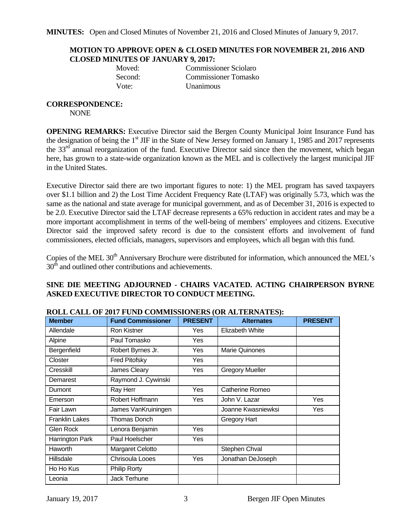#### **MOTION TO APPROVE OPEN & CLOSED MINUTES FOR NOVEMBER 21, 2016 AND CLOSED MINUTES OF JANUARY 9, 2017:**

**Moved:** Commissioner Sciolaro Second: Commissioner Tomasko Vote: Unanimous

### **CORRESPONDENCE:**

NONE

**OPENING REMARKS:** Executive Director said the Bergen County Municipal Joint Insurance Fund has the designation of being the 1<sup>st</sup> JIF in the State of New Jersey formed on January 1, 1985 and 2017 represents the 33<sup>rd</sup> annual reorganization of the fund. Executive Director said since then the movement, which began here, has grown to a state-wide organization known as the MEL and is collectively the largest municipal JIF in the United States.

Executive Director said there are two important figures to note: 1) the MEL program has saved taxpayers over \$1.1 billion and 2) the Lost Time Accident Frequency Rate (LTAF) was originally 5.73, which was the same as the national and state average for municipal government, and as of December 31, 2016 is expected to be 2.0. Executive Director said the LTAF decrease represents a 65% reduction in accident rates and may be a more important accomplishment in terms of the well-being of members' employees and citizens. Executive Director said the improved safety record is due to the consistent efforts and involvement of fund commissioners, elected officials, managers, supervisors and employees, which all began with this fund.

Copies of the MEL 30<sup>th</sup> Anniversary Brochure were distributed for information, which announced the MEL's  $30<sup>th</sup>$  and outlined other contributions and achievements.

#### **SINE DIE MEETING ADJOURNED - CHAIRS VACATED. ACTING CHAIRPERSON BYRNE ASKED EXECUTIVE DIRECTOR TO CONDUCT MEETING.**

| <b>Member</b>         | <b>Fund Commissioner</b> | <b>PRESENT</b> | <b>Alternates</b>      | <b>PRESENT</b> |
|-----------------------|--------------------------|----------------|------------------------|----------------|
| Allendale             | <b>Ron Kistner</b>       | Yes            | Elizabeth White        |                |
| Alpine                | Paul Tomasko             | Yes            |                        |                |
| Bergenfield           | Robert Byrnes Jr.        | Yes            | <b>Marie Quinones</b>  |                |
| Closter               | <b>Fred Pitofsky</b>     | Yes            |                        |                |
| Cresskill             | James Cleary             | Yes            | <b>Gregory Mueller</b> |                |
| Demarest              | Raymond J. Cywinski      |                |                        |                |
| <b>Dumont</b>         | Ray Herr                 | Yes            | Catherine Romeo        |                |
| Emerson               | Robert Hoffmann          | Yes            | John V. Lazar          | Yes            |
| Fair Lawn             | James VanKruiningen      |                | Joanne Kwasniewksi     | Yes            |
| <b>Franklin Lakes</b> | <b>Thomas Donch</b>      |                | Gregory Hart           |                |
| Glen Rock             | Lenora Benjamin          | Yes            |                        |                |
| Harrington Park       | Paul Hoelscher           | Yes            |                        |                |
| <b>Haworth</b>        | Margaret Celotto         |                | Stephen Chval          |                |
| Hillsdale             | Chrisoula Looes          | Yes            | Jonathan DeJoseph      |                |
| Ho Ho Kus             | <b>Philip Rorty</b>      |                |                        |                |
| Leonia                | Jack Terhune             |                |                        |                |

#### **ROLL CALL OF 2017 FUND COMMISSIONERS (OR ALTERNATES):**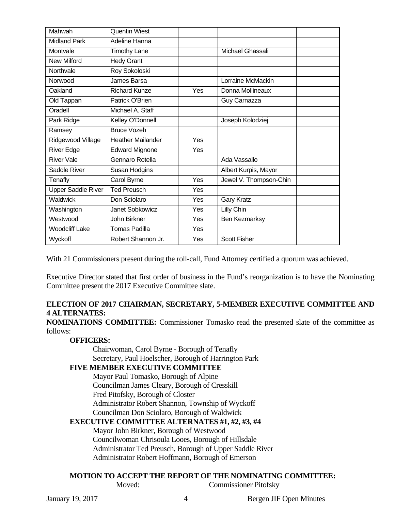| Mahwah                    | <b>Quentin Wiest</b>     |     |                        |  |
|---------------------------|--------------------------|-----|------------------------|--|
| <b>Midland Park</b>       | Adeline Hanna            |     |                        |  |
| Montvale                  | <b>Timothy Lane</b>      |     | Michael Ghassali       |  |
| New Milford               | <b>Hedy Grant</b>        |     |                        |  |
| Northvale                 | Roy Sokoloski            |     |                        |  |
| Norwood                   | James Barsa              |     | Lorraine McMackin      |  |
| Oakland                   | <b>Richard Kunze</b>     | Yes | Donna Mollineaux       |  |
| Old Tappan                | Patrick O'Brien          |     | Guy Carnazza           |  |
| Oradell                   | Michael A. Staff         |     |                        |  |
| Park Ridge                | Kelley O'Donnell         |     | Joseph Kolodziej       |  |
| Ramsey                    | <b>Bruce Vozeh</b>       |     |                        |  |
| Ridgewood Village         | <b>Heather Mailander</b> | Yes |                        |  |
| <b>River Edge</b>         | <b>Edward Mignone</b>    | Yes |                        |  |
| <b>River Vale</b>         | Gennaro Rotella          |     | Ada Vassallo           |  |
| Saddle River              | Susan Hodgins            |     | Albert Kurpis, Mayor   |  |
| Tenafly                   | Carol Byrne              | Yes | Jewel V. Thompson-Chin |  |
| <b>Upper Saddle River</b> | <b>Ted Preusch</b>       | Yes |                        |  |
| <b>Waldwick</b>           | Don Sciolaro             | Yes | <b>Gary Kratz</b>      |  |
| Washington                | Janet Sobkowicz          | Yes | Lilly Chin             |  |
| Westwood                  | John Birkner             | Yes | Ben Kezmarksy          |  |
| <b>Woodcliff Lake</b>     | <b>Tomas Padilla</b>     | Yes |                        |  |
| Wyckoff                   | Robert Shannon Jr.       | Yes | <b>Scott Fisher</b>    |  |

With 21 Commissioners present during the roll-call, Fund Attorney certified a quorum was achieved.

Executive Director stated that first order of business in the Fund's reorganization is to have the Nominating Committee present the 2017 Executive Committee slate.

#### **ELECTION OF 2017 CHAIRMAN, SECRETARY, 5-MEMBER EXECUTIVE COMMITTEE AND 4 ALTERNATES:**

**NOMINATIONS COMMITTEE:** Commissioner Tomasko read the presented slate of the committee as follows:

#### **OFFICERS:**

Chairwoman, Carol Byrne - Borough of Tenafly Secretary, Paul Hoelscher, Borough of Harrington Park

#### **FIVE MEMBER EXECUTIVE COMMITTEE**

Mayor Paul Tomasko, Borough of Alpine Councilman James Cleary, Borough of Cresskill Fred Pitofsky, Borough of Closter Administrator Robert Shannon, Township of Wyckoff Councilman Don Sciolaro, Borough of Waldwick

#### **EXECUTIVE COMMITTEE ALTERNATES #1, #2, #3, #4**

Mayor John Birkner, Borough of Westwood Councilwoman Chrisoula Looes, Borough of Hillsdale Administrator Ted Preusch, Borough of Upper Saddle River Administrator Robert Hoffmann, Borough of Emerson

#### **MOTION TO ACCEPT THE REPORT OF THE NOMINATING COMMITTEE:**

Moved: Commissioner Pitofsky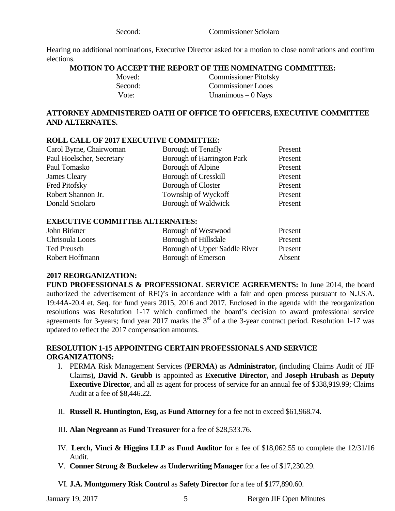Second: Commissioner Sciolaro

Hearing no additional nominations, Executive Director asked for a motion to close nominations and confirm elections.

#### **MOTION TO ACCEPT THE REPORT OF THE NOMINATING COMMITTEE:**

| Moved:  | <b>Commissioner Pitofsky</b> |
|---------|------------------------------|
| Second: | <b>Commissioner Looes</b>    |
| Vote:   | Unanimous $-0$ Nays          |

#### **ATTORNEY ADMINISTERED OATH OF OFFICE TO OFFICERS, EXECUTIVE COMMITTEE AND ALTERNATES.**

#### **ROLL CALL OF 2017 EXECUTIVE COMMITTEE:**

| Carol Byrne, Chairwoman   | Borough of Tenafly                | Present |
|---------------------------|-----------------------------------|---------|
| Paul Hoelscher, Secretary | <b>Borough of Harrington Park</b> | Present |
| Paul Tomasko              | Borough of Alpine                 | Present |
| James Cleary              | <b>Borough of Cresskill</b>       | Present |
| Fred Pitofsky             | <b>Borough of Closter</b>         | Present |
| Robert Shannon Jr.        | Township of Wyckoff               | Present |
| Donald Sciolaro           | Borough of Waldwick               | Present |

#### **EXECUTIVE COMMITTEE ALTERNATES:**

| John Birkner    | Borough of Westwood           | Present |
|-----------------|-------------------------------|---------|
| Chrisoula Looes | Borough of Hillsdale          | Present |
| Ted Preusch     | Borough of Upper Saddle River | Present |
| Robert Hoffmann | Borough of Emerson            | Absent  |

#### **2017 REORGANIZATION:**

**FUND PROFESSIONALS & PROFESSIONAL SERVICE AGREEMENTS:** In June 2014, the board authorized the advertisement of RFQ's in accordance with a fair and open process pursuant to N.J.S.A. 19:44A-20.4 et. Seq. for fund years 2015, 2016 and 2017. Enclosed in the agenda with the reorganization resolutions was Resolution 1-17 which confirmed the board's decision to award professional service agreements for 3-years; fund year 2017 marks the  $3<sup>rd</sup>$  of a the 3-year contract period. Resolution 1-17 was updated to reflect the 2017 compensation amounts.

#### **RESOLUTION 1-15 APPOINTING CERTAIN PROFESSIONALS AND SERVICE ORGANIZATIONS:**

- I. PERMA Risk Management Services (**PERMA**) as **Administrator, (**including Claims Audit of JIF Claims)**, David N. Grubb** is appointed as **Executive Director,** and **Joseph Hrubash** as **Deputy Executive Director**, and all as agent for process of service for an annual fee of \$338,919.99; Claims Audit at a fee of \$8,446.22.
- II. **Russell R. Huntington, Esq,** as **Fund Attorney** for a fee not to exceed \$61,968.74.
- III. **Alan Negreann** as **Fund Treasurer** for a fee of \$28,533.76.
- IV. **Lerch, Vinci & Higgins LLP** as **Fund Auditor** for a fee of \$18,062.55 to complete the 12/31/16 Audit.
- V. **Conner Strong & Buckelew** as **Underwriting Manager** for a fee of \$17,230.29.

VI. **J.A. Montgomery Risk Control** as **Safety Director** for a fee of \$177,890.60.

January 19, 2017 **5** Bergen JIF Open Minutes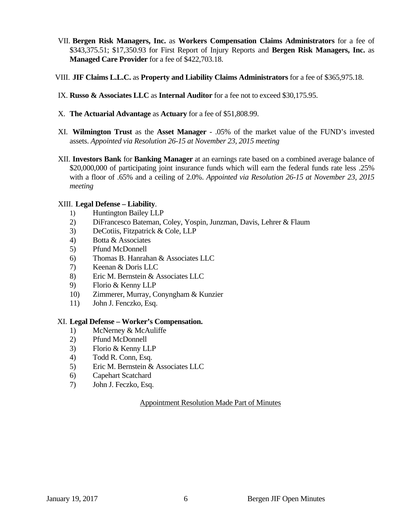- VII. **Bergen Risk Managers, Inc.** as **Workers Compensation Claims Administrators** for a fee of \$343,375.51; \$17,350.93 for First Report of Injury Reports and **Bergen Risk Managers, Inc.** as **Managed Care Provider** for a fee of \$422,703.18.
- VIII. **JIF Claims L.L.C.** as **Property and Liability Claims Administrators** for a fee of \$365,975.18.
- IX. **Russo & Associates LLC** as **Internal Auditor** for a fee not to exceed \$30,175.95.
- X. **The Actuarial Advantage** as **Actuary** for a fee of \$51,808.99.
- XI. **Wilmington Trust** as the **Asset Manager** .05% of the market value of the FUND's invested assets. *Appointed via Resolution 26-15 at November 23, 2015 meeting*
- XII. **Investors Bank** for **Banking Manager** at an earnings rate based on a combined average balance of \$20,000,000 of participating joint insurance funds which will earn the federal funds rate less .25% with a floor of .65% and a ceiling of 2.0%. *Appointed via Resolution 26-15 at November 23, 2015 meeting*

#### XIII. **Legal Defense – Liability**.

- 1) Huntington Bailey LLP
- 2) DiFrancesco Bateman, Coley, Yospin, Junzman, Davis, Lehrer & Flaum
- 3) DeCotiis, Fitzpatrick & Cole, LLP
- 4) Botta & Associates
- 5) Pfund McDonnell
- 6) Thomas B. Hanrahan & Associates LLC
- 7) Keenan & Doris LLC
- 8) Eric M. Bernstein & Associates LLC
- 9) Florio & Kenny LLP
- 10) Zimmerer, Murray, Conyngham & Kunzier
- 11) John J. Fenczko, Esq.

#### XI. **Legal Defense – Worker's Compensation.**

- 1) McNerney & McAuliffe
- 2) Pfund McDonnell
- 3) Florio & Kenny LLP
- 4) Todd R. Conn, Esq.
- 5) Eric M. Bernstein & Associates LLC
- 6) Capehart Scatchard
- 7) John J. Feczko, Esq.

#### Appointment Resolution Made Part of Minutes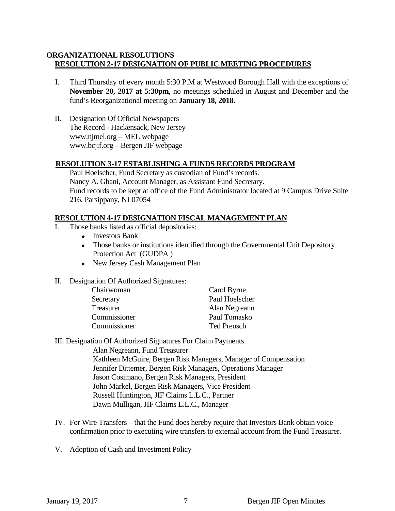#### **ORGANIZATIONAL RESOLUTIONS RESOLUTION 2-17 DESIGNATION OF PUBLIC MEETING PROCEDURES**

- I. Third Thursday of every month 5:30 P.M at Westwood Borough Hall with the exceptions of **November 20, 2017 at 5:30pm**, no meetings scheduled in August and December and the fund's Reorganizational meeting on **January 18, 2018.**
- II. Designation Of Official Newspapers The Record - Hackensack, New Jersey www.njmel.org – MEL webpage www.bcjif.org – Bergen JIF webpage

#### **RESOLUTION 3-17 ESTABLISHING A FUNDS RECORDS PROGRAM**

 Paul Hoelscher, Fund Secretary as custodian of Fund's records. Nancy A. Ghani, Account Manager, as Assistant Fund Secretary. Fund records to be kept at office of the Fund Administrator located at 9 Campus Drive Suite 216, Parsippany, NJ 07054

#### **RESOLUTION 4-17 DESIGNATION FISCAL MANAGEMENT PLAN**

- I. Those banks listed as official depositories:
	- Investors Bank
	- Those banks or institutions identified through the Governmental Unit Depository Protection Act (GUDPA )
	- New Jersey Cash Management Plan

#### II. Designation Of Authorized Signatures:

| Chairwoman   | Carol Byrne        |
|--------------|--------------------|
| Secretary    | Paul Hoelscher     |
| Treasurer    | Alan Negreann      |
| Commissioner | Paul Tomasko       |
| Commissioner | <b>Ted Preusch</b> |

III. Designation Of Authorized Signatures For Claim Payments.

Alan Negreann, Fund Treasurer Kathleen McGuire, Bergen Risk Managers, Manager of Compensation Jennifer Dittemer, Bergen Risk Managers, Operations Manager Jason Cosimano, Bergen Risk Managers, President John Markel, Bergen Risk Managers, Vice President Russell Huntington, JIF Claims L.L.C., Partner Dawn Mulligan, JIF Claims L.L.C., Manager

- IV. For Wire Transfers that the Fund does hereby require that Investors Bank obtain voice confirmation prior to executing wire transfers to external account from the Fund Treasurer.
- V. Adoption of Cash and Investment Policy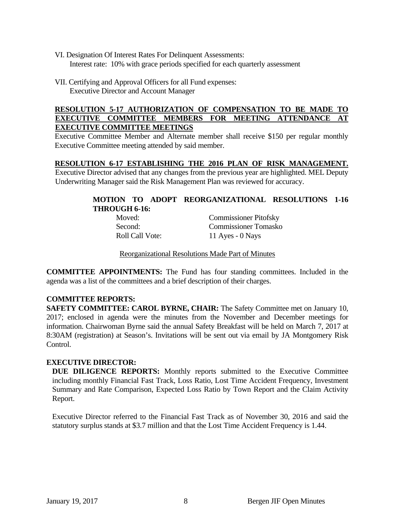- VI. Designation Of Interest Rates For Delinquent Assessments: Interest rate: 10% with grace periods specified for each quarterly assessment
- VII. Certifying and Approval Officers for all Fund expenses: Executive Director and Account Manager

#### **RESOLUTION 5-17 AUTHORIZATION OF COMPENSATION TO BE MADE TO EXECUTIVE COMMITTEE MEMBERS FOR MEETING ATTENDANCE AT EXECUTIVE COMMITTEE MEETINGS**

Executive Committee Member and Alternate member shall receive \$150 per regular monthly Executive Committee meeting attended by said member.

#### **RESOLUTION 6-17 ESTABLISHING THE 2016 PLAN OF RISK MANAGEMENT.**

Executive Director advised that any changes from the previous year are highlighted. MEL Deputy Underwriting Manager said the Risk Management Plan was reviewed for accuracy.

#### **MOTION TO ADOPT REORGANIZATIONAL RESOLUTIONS 1-16 THROUGH 6-16:**

 Moved: Commissioner Pitofsky Second: Commissioner Tomasko Roll Call Vote: 11 Ayes - 0 Nays

Reorganizational Resolutions Made Part of Minutes

**COMMITTEE APPOINTMENTS:** The Fund has four standing committees. Included in the agenda was a list of the committees and a brief description of their charges.

#### **COMMITTEE REPORTS:**

**SAFETY COMMITTEE: CAROL BYRNE, CHAIR:** The Safety Committee met on January 10, 2017; enclosed in agenda were the minutes from the November and December meetings for information. Chairwoman Byrne said the annual Safety Breakfast will be held on March 7, 2017 at 8:30AM (registration) at Season's. Invitations will be sent out via email by JA Montgomery Risk Control.

#### **EXECUTIVE DIRECTOR:**

**DUE DILIGENCE REPORTS:** Monthly reports submitted to the Executive Committee including monthly Financial Fast Track, Loss Ratio, Lost Time Accident Frequency, Investment Summary and Rate Comparison, Expected Loss Ratio by Town Report and the Claim Activity Report.

Executive Director referred to the Financial Fast Track as of November 30, 2016 and said the statutory surplus stands at \$3.7 million and that the Lost Time Accident Frequency is 1.44.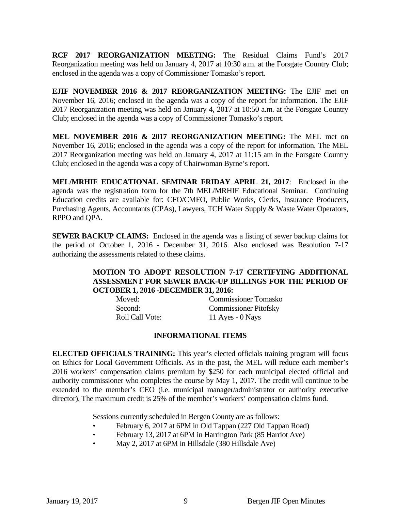**RCF 2017 REORGANIZATION MEETING:** The Residual Claims Fund's 2017 Reorganization meeting was held on January 4, 2017 at 10:30 a.m. at the Forsgate Country Club; enclosed in the agenda was a copy of Commissioner Tomasko's report.

**EJIF NOVEMBER 2016 & 2017 REORGANIZATION MEETING:** The EJIF met on November 16, 2016; enclosed in the agenda was a copy of the report for information. The EJIF 2017 Reorganization meeting was held on January 4, 2017 at 10:50 a.m. at the Forsgate Country Club; enclosed in the agenda was a copy of Commissioner Tomasko's report.

**MEL NOVEMBER 2016 & 2017 REORGANIZATION MEETING:** The MEL met on November 16, 2016; enclosed in the agenda was a copy of the report for information. The MEL 2017 Reorganization meeting was held on January 4, 2017 at 11:15 am in the Forsgate Country Club; enclosed in the agenda was a copy of Chairwoman Byrne's report.

**MEL/MRHIF EDUCATIONAL SEMINAR FRIDAY APRIL 21, 2017**: Enclosed in the agenda was the registration form for the 7th MEL/MRHIF Educational Seminar. Continuing Education credits are available for: CFO/CMFO, Public Works, Clerks, Insurance Producers, Purchasing Agents, Accountants (CPAs), Lawyers, TCH Water Supply & Waste Water Operators, RPPO and QPA.

**SEWER BACKUP CLAIMS:** Enclosed in the agenda was a listing of sewer backup claims for the period of October 1, 2016 - December 31, 2016. Also enclosed was Resolution 7-17 authorizing the assessments related to these claims.

#### **MOTION TO ADOPT RESOLUTION 7-17 CERTIFYING ADDITIONAL ASSESSMENT FOR SEWER BACK-UP BILLINGS FOR THE PERIOD OF OCTOBER 1, 2016 -DECEMBER 31, 2016:**

| Moved:                 | <b>Commissioner Tomasko</b>  |
|------------------------|------------------------------|
| Second:                | <b>Commissioner Pitofsky</b> |
| <b>Roll Call Vote:</b> | 11 Ayes - $0$ Nays           |

#### **INFORMATIONAL ITEMS**

**ELECTED OFFICIALS TRAINING:** This year's elected officials training program will focus on Ethics for Local Government Officials. As in the past, the MEL will reduce each member's 2016 workers' compensation claims premium by \$250 for each municipal elected official and authority commissioner who completes the course by May 1, 2017. The credit will continue to be extended to the member's CEO (i.e. municipal manager/administrator or authority executive director). The maximum credit is 25% of the member's workers' compensation claims fund.

Sessions currently scheduled in Bergen County are as follows:

- February 6, 2017 at 6PM in Old Tappan (227 Old Tappan Road)
- February 13, 2017 at 6PM in Harrington Park (85 Harriot Ave)
- May 2, 2017 at 6PM in Hillsdale (380 Hillsdale Ave)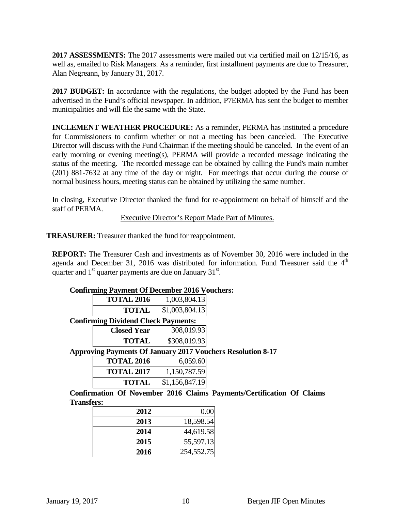**2017 ASSESSMENTS:** The 2017 assessments were mailed out via certified mail on 12/15/16, as well as, emailed to Risk Managers. As a reminder, first installment payments are due to Treasurer, Alan Negreann, by January 31, 2017.

**2017 BUDGET:** In accordance with the regulations, the budget adopted by the Fund has been advertised in the Fund's official newspaper. In addition, P7ERMA has sent the budget to member municipalities and will file the same with the State.

**INCLEMENT WEATHER PROCEDURE:** As a reminder, PERMA has instituted a procedure for Commissioners to confirm whether or not a meeting has been canceled. The Executive Director will discuss with the Fund Chairman if the meeting should be canceled. In the event of an early morning or evening meeting(s), PERMA will provide a recorded message indicating the status of the meeting. The recorded message can be obtained by calling the Fund's main number (201) 881-7632 at any time of the day or night. For meetings that occur during the course of normal business hours, meeting status can be obtained by utilizing the same number.

In closing, Executive Director thanked the fund for re-appointment on behalf of himself and the staff of PERMA.

#### Executive Director's Report Made Part of Minutes.

**TREASURER:** Treasurer thanked the fund for reappointment.

**REPORT:** The Treasurer Cash and investments as of November 30, 2016 were included in the agenda and December 31, 2016 was distributed for information. Fund Treasurer said the  $4<sup>th</sup>$ quarter and  $1<sup>st</sup>$  quarter payments are due on January  $31<sup>st</sup>$ .

#### **Confirming Payment Of December 2016 Vouchers:**

|                                 | <b>TOTAL 2016</b> | 1,003,804.13   |
|---------------------------------|-------------------|----------------|
|                                 | <b>TOTAL</b>      | \$1,003,804.13 |
| irming Dividend Check Payments• |                   |                |

#### **Confirming Dividend Check Payments:**

| <b>Closed Yearl</b> | 308,019.93   |
|---------------------|--------------|
| <b>TOTAL</b>        | \$308,019.93 |

**Approving Payments Of January 2017 Vouchers Resolution 8-17** 

| <b>TOTAL 2016</b> | 6,059.60       |
|-------------------|----------------|
| <b>TOTAL 2017</b> | 1,150,787.59   |
| <b>TOTAL</b>      | \$1,156,847.19 |

**Confirmation Of November 2016 Claims Payments/Certification Of Claims Transfers:** 

| 2012 | 0.00       |
|------|------------|
| 2013 | 18,598.54  |
| 2014 | 44,619.58  |
| 2015 | 55,597.13  |
| 2016 | 254,552.75 |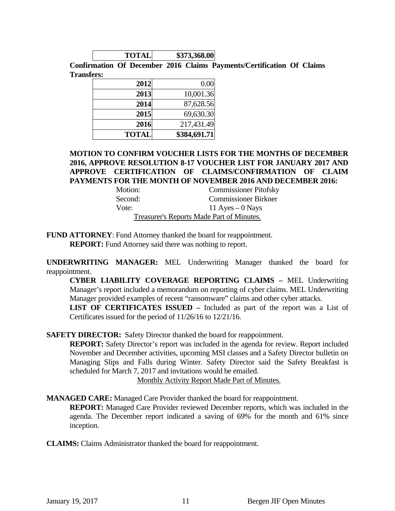| <b>TOTAL</b> | \$373,368.00 |
|--------------|--------------|

**Confirmation Of December 2016 Claims Payments/Certification Of Claims Transfers:** 

| 2012         | 0.00         |
|--------------|--------------|
| 2013         | 10,001.36    |
| 2014         | 87,628.56    |
| 2015         | 69,630.30    |
| 2016         | 217,431.49   |
| <b>TOTAL</b> | \$384,691.71 |

#### **MOTION TO CONFIRM VOUCHER LISTS FOR THE MONTHS OF DECEMBER 2016, APPROVE RESOLUTION 8-17 VOUCHER LIST FOR JANUARY 2017 AND APPROVE CERTIFICATION OF CLAIMS/CONFIRMATION OF CLAIM PAYMENTS FOR THE MONTH OF NOVEMBER 2016 AND DECEMBER 2016:**

| Motion: | <b>Commissioner Pitofsky</b>              |
|---------|-------------------------------------------|
| Second: | <b>Commissioner Birkner</b>               |
| Vote:   | 11 Ayes $-0$ Nays                         |
|         | Treasurer's Reports Made Part of Minutes. |

**FUND ATTORNEY**: Fund Attorney thanked the board for reappointment. **REPORT:** Fund Attorney said there was nothing to report.

**UNDERWRITING MANAGER:** MEL Underwriting Manager thanked the board for reappointment.

**CYBER LIABILITY COVERAGE REPORTING CLAIMS –** MEL Underwriting Manager's report included a memorandum on reporting of cyber claims. MEL Underwriting Manager provided examples of recent "ransomware" claims and other cyber attacks.

**LIST OF CERTIFICATES ISSUED –** Included as part of the report was a List of Certificates issued for the period of 11/26/16 to 12/21/16.

**SAFETY DIRECTOR:** Safety Director thanked the board for reappointment.

**REPORT:** Safety Director's report was included in the agenda for review. Report included November and December activities, upcoming MSI classes and a Safety Director bulletin on Managing Slips and Falls during Winter. Safety Director said the Safety Breakfast is scheduled for March 7, 2017 and invitations would be emailed.

Monthly Activity Report Made Part of Minutes.

**MANAGED CARE:** Managed Care Provider thanked the board for reappointment.

**REPORT:** Managed Care Provider reviewed December reports, which was included in the agenda. The December report indicated a saving of 69% for the month and 61% since inception.

**CLAIMS:** Claims Administrator thanked the board for reappointment.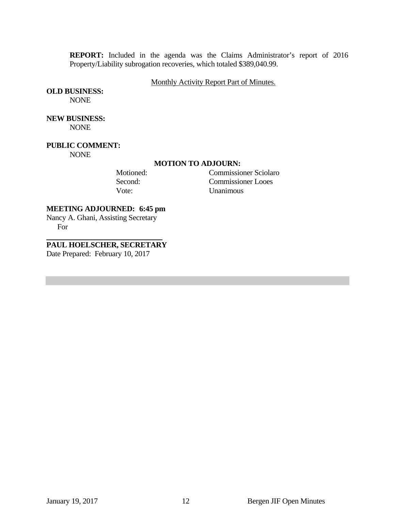**REPORT:** Included in the agenda was the Claims Administrator's report of 2016 Property/Liability subrogation recoveries, which totaled \$389,040.99.

#### Monthly Activity Report Part of Minutes.

**OLD BUSINESS:** 

**NONE** 

**NEW BUSINESS:**  NONE

**PUBLIC COMMENT:** 

NONE

#### **MOTION TO ADJOURN:**

 Motioned: Commissioner Sciolaro Second: Commissioner Looes Vote: Unanimous

**MEETING ADJOURNED: 6:45 pm** 

Nancy A. Ghani, Assisting Secretary For

**PAUL HOELSCHER, SECRETARY** 

Date Prepared: February 10, 2017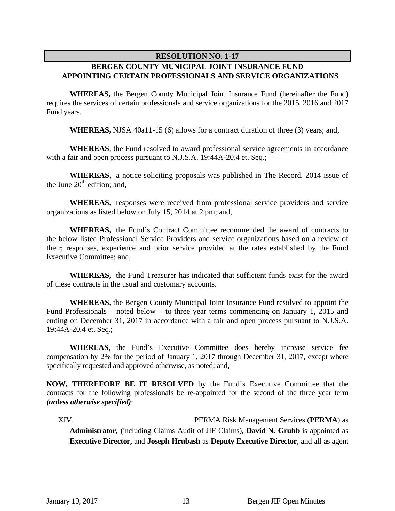#### **RESOLUTION NO**. **1-17**

### **BERGEN COUNTY MUNICIPAL JOINT INSURANCE FUND APPOINTING CERTAIN PROFESSIONALS AND SERVICE ORGANIZATIONS**

 **WHEREAS,** the Bergen County Municipal Joint Insurance Fund (hereinafter the Fund) requires the services of certain professionals and service organizations for the 2015, 2016 and 2017 Fund years.

 **WHEREAS,** NJSA 40a11-15 (6) allows for a contract duration of three (3) years; and,

 **WHEREAS**, the Fund resolved to award professional service agreements in accordance with a fair and open process pursuant to N.J.S.A. 19:44A-20.4 et. Seq.;

 **WHEREAS,** a notice soliciting proposals was published in The Record, 2014 issue of the June  $20<sup>th</sup>$  edition; and,

 **WHEREAS,** responses were received from professional service providers and service organizations as listed below on July 15, 2014 at 2 pm; and,

 **WHEREAS,** the Fund's Contract Committee recommended the award of contracts to the below listed Professional Service Providers and service organizations based on a review of their; responses, experience and prior service provided at the rates established by the Fund Executive Committee; and,

 **WHEREAS,** the Fund Treasurer has indicated that sufficient funds exist for the award of these contracts in the usual and customary accounts.

 **WHEREAS,** the Bergen County Municipal Joint Insurance Fund resolved to appoint the Fund Professionals – noted below – to three year terms commencing on January 1, 2015 and ending on December 31, 2017 in accordance with a fair and open process pursuant to N.J.S.A. 19:44A-20.4 et. Seq.;

 **WHEREAS,** the Fund's Executive Committee does hereby increase service fee compensation by 2% for the period of January 1, 2017 through December 31, 2017, except where specifically requested and approved otherwise, as noted; and,

**NOW, THEREFORE BE IT RESOLVED** by the Fund's Executive Committee that the contracts for the following professionals be re-appointed for the second of the three year term *(unless otherwise specified)*:

XIV. PERMA Risk Management Services (**PERMA**) as **Administrator, (**including Claims Audit of JIF Claims)**, David N. Grubb** is appointed as **Executive Director,** and **Joseph Hrubash** as **Deputy Executive Director**, and all as agent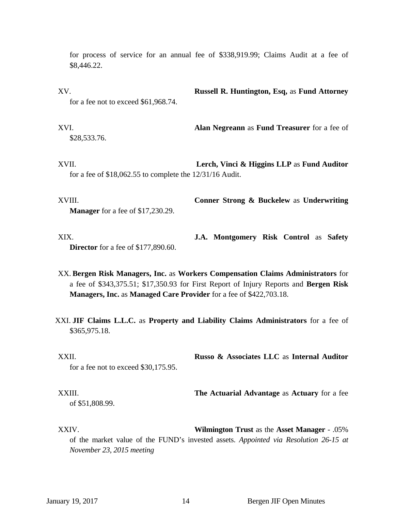for process of service for an annual fee of \$338,919.99; Claims Audit at a fee of \$8,446.22.

XV. **Russell R. Huntington, Esq,** as **Fund Attorney**  for a fee not to exceed \$61,968.74.

XVI. **Alan Negreann** as **Fund Treasurer** for a fee of \$28,533.76.

XVII. **Lerch, Vinci & Higgins LLP** as **Fund Auditor**  for a fee of \$18,062.55 to complete the 12/31/16 Audit.

XVIII. **Conner Strong & Buckelew** as **Underwriting Manager** for a fee of \$17,230.29.

XIX. **J.A. Montgomery Risk Control** as **Safety Director** for a fee of \$177,890.60.

- XX. **Bergen Risk Managers, Inc.** as **Workers Compensation Claims Administrators** for a fee of \$343,375.51; \$17,350.93 for First Report of Injury Reports and **Bergen Risk Managers, Inc.** as **Managed Care Provider** for a fee of \$422,703.18.
- XXI. **JIF Claims L.L.C.** as **Property and Liability Claims Administrators** for a fee of \$365,975.18.

XXII. **Russo & Associates LLC** as **Internal Auditor**  for a fee not to exceed \$30,175.95.

XXIII. **The Actuarial Advantage** as **Actuary** for a fee of \$51,808.99.

XXIV. **Wilmington Trust** as the **Asset Manager** - .05% of the market value of the FUND's invested assets. *Appointed via Resolution 26-15 at November 23, 2015 meeting*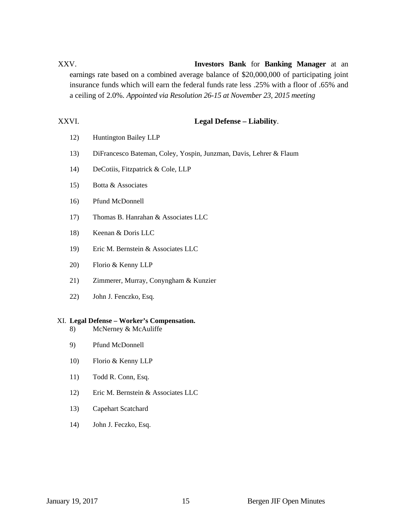# XXV. **Investors Bank** for **Banking Manager** at an earnings rate based on a combined average balance of \$20,000,000 of participating joint insurance funds which will earn the federal funds rate less .25% with a floor of .65% and a ceiling of 2.0%. *Appointed via Resolution 26-15 at November 23, 2015 meeting*

#### XXVI. **Legal Defense – Liability**.

- 12) Huntington Bailey LLP
- 13) DiFrancesco Bateman, Coley, Yospin, Junzman, Davis, Lehrer & Flaum
- 14) DeCotiis, Fitzpatrick & Cole, LLP
- 15) Botta & Associates
- 16) Pfund McDonnell
- 17) Thomas B. Hanrahan & Associates LLC
- 18) Keenan & Doris LLC
- 19) Eric M. Bernstein & Associates LLC
- 20) Florio & Kenny LLP
- 21) Zimmerer, Murray, Conyngham & Kunzier
- 22) John J. Fenczko, Esq.

#### XI. **Legal Defense – Worker's Compensation.**

- 8) McNerney & McAuliffe
- 9) Pfund McDonnell
- 10) Florio & Kenny LLP
- 11) Todd R. Conn, Esq.
- 12) Eric M. Bernstein & Associates LLC
- 13) Capehart Scatchard
- 14) John J. Feczko, Esq.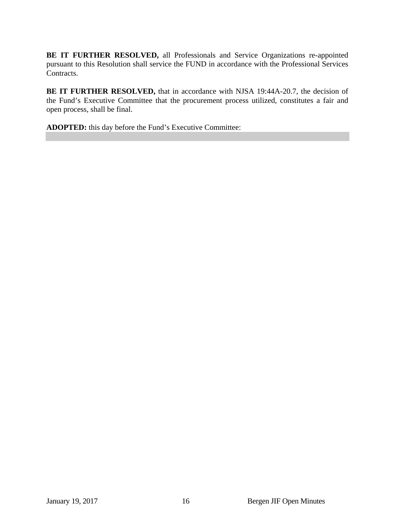**BE IT FURTHER RESOLVED,** all Professionals and Service Organizations re-appointed pursuant to this Resolution shall service the FUND in accordance with the Professional Services Contracts.

**BE IT FURTHER RESOLVED,** that in accordance with NJSA 19:44A-20.7, the decision of the Fund's Executive Committee that the procurement process utilized, constitutes a fair and open process, shall be final.

**ADOPTED:** this day before the Fund's Executive Committee: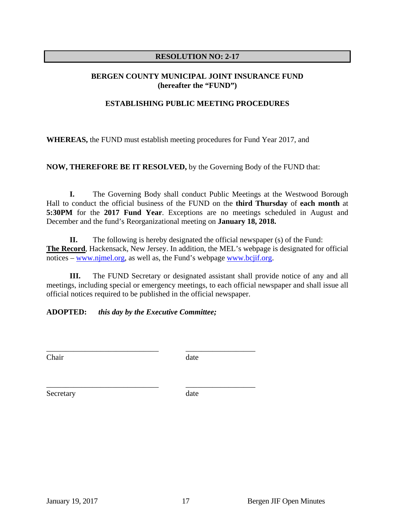#### **RESOLUTION NO: 2-17**

#### **BERGEN COUNTY MUNICIPAL JOINT INSURANCE FUND (hereafter the "FUND")**

#### **ESTABLISHING PUBLIC MEETING PROCEDURES**

**WHEREAS,** the FUND must establish meeting procedures for Fund Year 2017, and

**NOW, THEREFORE BE IT RESOLVED,** by the Governing Body of the FUND that:

**I.** The Governing Body shall conduct Public Meetings at the Westwood Borough Hall to conduct the official business of the FUND on the **third Thursday** of **each month** at **5:30PM** for the **2017 Fund Year**. Exceptions are no meetings scheduled in August and December and the fund's Reorganizational meeting on **January 18, 2018.** 

**II.** The following is hereby designated the official newspaper (s) of the Fund: **The Record**, Hackensack, New Jersey. In addition, the MEL's webpage is designated for official notices – www.njmel.org, as well as, the Fund's webpage www.bcjif.org.

**III.** The FUND Secretary or designated assistant shall provide notice of any and all meetings, including special or emergency meetings, to each official newspaper and shall issue all official notices required to be published in the official newspaper.

**ADOPTED:** *this day by the Executive Committee;*

\_\_\_\_\_\_\_\_\_\_\_\_\_\_\_\_\_\_\_\_\_\_\_\_\_\_\_\_\_ \_\_\_\_\_\_\_\_\_\_\_\_\_\_\_\_\_\_

\_\_\_\_\_\_\_\_\_\_\_\_\_\_\_\_\_\_\_\_\_\_\_\_\_\_\_\_\_ \_\_\_\_\_\_\_\_\_\_\_\_\_\_\_\_\_\_

Chair date date

Secretary date date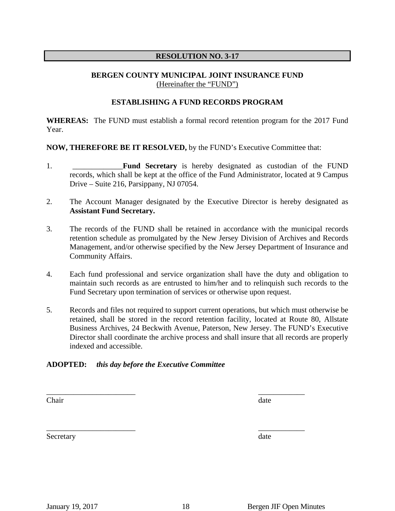#### **RESOLUTION NO. 3-17**

#### **BERGEN COUNTY MUNICIPAL JOINT INSURANCE FUND** (Hereinafter the "FUND")

#### **ESTABLISHING A FUND RECORDS PROGRAM**

**WHEREAS:** The FUND must establish a formal record retention program for the 2017 Fund Year.

**NOW, THEREFORE BE IT RESOLVED,** by the FUND's Executive Committee that:

- 1. \_\_\_\_\_\_\_\_\_\_\_\_\_**Fund Secretary** is hereby designated as custodian of the FUND records, which shall be kept at the office of the Fund Administrator, located at 9 Campus Drive – Suite 216, Parsippany, NJ 07054.
- 2. The Account Manager designated by the Executive Director is hereby designated as **Assistant Fund Secretary.**
- 3. The records of the FUND shall be retained in accordance with the municipal records retention schedule as promulgated by the New Jersey Division of Archives and Records Management, and/or otherwise specified by the New Jersey Department of Insurance and Community Affairs.
- 4. Each fund professional and service organization shall have the duty and obligation to maintain such records as are entrusted to him/her and to relinquish such records to the Fund Secretary upon termination of services or otherwise upon request.
- 5. Records and files not required to support current operations, but which must otherwise be retained, shall be stored in the record retention facility, located at Route 80, Allstate Business Archives, 24 Beckwith Avenue, Paterson, New Jersey. The FUND's Executive Director shall coordinate the archive process and shall insure that all records are properly indexed and accessible.

#### **ADOPTED:** *this day before the Executive Committee*

Chair date and the contract of the contract of the contract of the contract of the contract of the contract of the contract of the contract of the contract of the contract of the contract of the contract of the contract of

Secretary date and the secretary date

 $\overline{\phantom{a}}$  , and the contract of the contract of the contract of the contract of the contract of the contract of the contract of the contract of the contract of the contract of the contract of the contract of the contrac

 $\overline{\phantom{a}}$  , and the contract of the contract of the contract of the contract of the contract of the contract of the contract of the contract of the contract of the contract of the contract of the contract of the contrac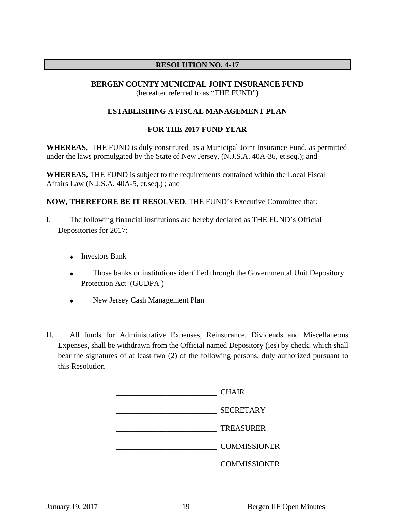#### **RESOLUTION NO. 4-17**

#### **BERGEN COUNTY MUNICIPAL JOINT INSURANCE FUND** (hereafter referred to as "THE FUND")

#### **ESTABLISHING A FISCAL MANAGEMENT PLAN**

#### **FOR THE 2017 FUND YEAR**

**WHEREAS**, THE FUND is duly constituted as a Municipal Joint Insurance Fund, as permitted under the laws promulgated by the State of New Jersey, (N.J.S.A. 40A-36, et.seq.); and

**WHEREAS,** THE FUND is subject to the requirements contained within the Local Fiscal Affairs Law (N.J.S.A. 40A-5, et.seq.) ; and

**NOW, THEREFORE BE IT RESOLVED**, THE FUND's Executive Committee that:

- I. The following financial institutions are hereby declared as THE FUND's Official Depositories for 2017:
	- **+** Investors Bank
	- Those banks or institutions identified through the Governmental Unit Depository Protection Act (GUDPA )
	- New Jersey Cash Management Plan
- II. All funds for Administrative Expenses, Reinsurance, Dividends and Miscellaneous Expenses, shall be withdrawn from the Official named Depository (ies) by check, which shall bear the signatures of at least two (2) of the following persons, duly authorized pursuant to this Resolution

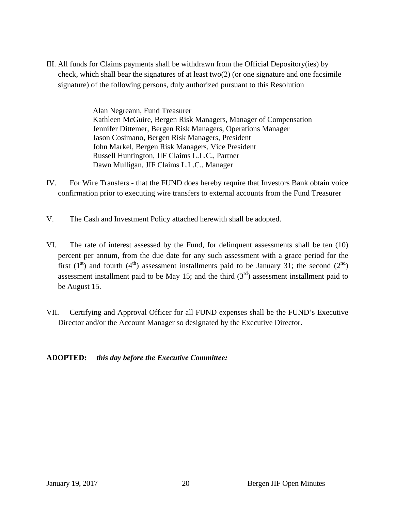III. All funds for Claims payments shall be withdrawn from the Official Depository(ies) by check, which shall bear the signatures of at least two(2) (or one signature and one facsimile signature) of the following persons, duly authorized pursuant to this Resolution

> Alan Negreann, Fund Treasurer Kathleen McGuire, Bergen Risk Managers, Manager of Compensation Jennifer Dittemer, Bergen Risk Managers, Operations Manager Jason Cosimano, Bergen Risk Managers, President John Markel, Bergen Risk Managers, Vice President Russell Huntington, JIF Claims L.L.C., Partner Dawn Mulligan, JIF Claims L.L.C., Manager

- IV. For Wire Transfersthat the FUND does hereby require that Investors Bank obtain voice confirmation prior to executing wire transfers to external accounts from the Fund Treasurer
- V. The Cash and Investment Policy attached herewith shall be adopted.
- VI. The rate of interest assessed by the Fund, for delinquent assessments shall be ten (10) percent per annum, from the due date for any such assessment with a grace period for the first  $(1<sup>st</sup>)$  and fourth  $(4<sup>th</sup>)$  assessment installments paid to be January 31; the second  $(2<sup>nd</sup>)$ assessment installment paid to be May 15; and the third  $(3<sup>rd</sup>)$  assessment installment paid to be August 15.
- VII. Certifying and Approval Officer for all FUND expenses shall be the FUND's Executive Director and/or the Account Manager so designated by the Executive Director.

#### **ADOPTED:** *this day before the Executive Committee:*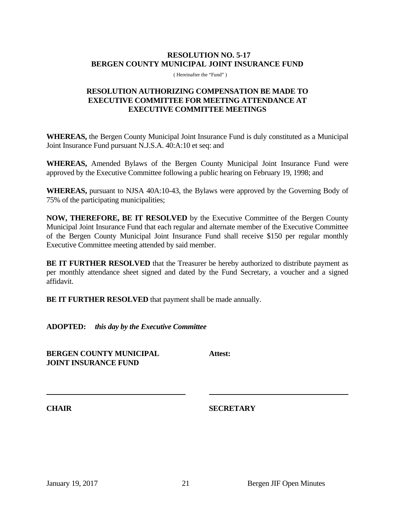#### **RESOLUTION NO. 5-17 BERGEN COUNTY MUNICIPAL JOINT INSURANCE FUND**

( Hereinafter the "Fund" )

#### **RESOLUTION AUTHORIZING COMPENSATION BE MADE TO EXECUTIVE COMMITTEE FOR MEETING ATTENDANCE AT EXECUTIVE COMMITTEE MEETINGS**

**WHEREAS,** the Bergen County Municipal Joint Insurance Fund is duly constituted as a Municipal Joint Insurance Fund pursuant N.J.S.A. 40:A:10 et seq: and

**WHEREAS,** Amended Bylaws of the Bergen County Municipal Joint Insurance Fund were approved by the Executive Committee following a public hearing on February 19, 1998; and

**WHEREAS,** pursuant to NJSA 40A:10-43, the Bylaws were approved by the Governing Body of 75% of the participating municipalities;

**NOW, THEREFORE, BE IT RESOLVED** by the Executive Committee of the Bergen County Municipal Joint Insurance Fund that each regular and alternate member of the Executive Committee of the Bergen County Municipal Joint Insurance Fund shall receive \$150 per regular monthly Executive Committee meeting attended by said member.

**BE IT FURTHER RESOLVED** that the Treasurer be hereby authorized to distribute payment as per monthly attendance sheet signed and dated by the Fund Secretary, a voucher and a signed affidavit.

**BE IT FURTHER RESOLVED** that payment shall be made annually.

**ADOPTED:** *this day by the Executive Committee*

**BERGEN COUNTY MUNICIPAL Attest: JOINT INSURANCE FUND**

**CHAIR SECRETARY**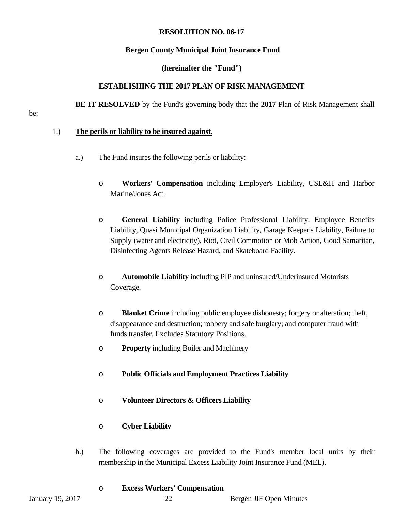#### **RESOLUTION NO. 06-17**

#### **Bergen County Municipal Joint Insurance Fund**

#### **(hereinafter the "Fund")**

#### **ESTABLISHING THE 2017 PLAN OF RISK MANAGEMENT**

 **BE IT RESOLVED** by the Fund's governing body that the **2017** Plan of Risk Management shall

be:

#### 1.) **The perils or liability to be insured against.**

- a.) The Fund insures the following perils or liability:
	- o **Workers' Compensation** including Employer's Liability, USL&H and Harbor Marine/Jones Act.
	- o **General Liability** including Police Professional Liability, Employee Benefits Liability, Quasi Municipal Organization Liability, Garage Keeper's Liability, Failure to Supply (water and electricity), Riot, Civil Commotion or Mob Action, Good Samaritan, Disinfecting Agents Release Hazard, and Skateboard Facility.
	- o **Automobile Liability** including PIP and uninsured/Underinsured Motorists Coverage.
	- o **Blanket Crime** including public employee dishonesty; forgery or alteration; theft, disappearance and destruction; robbery and safe burglary; and computer fraud with funds transfer. Excludes Statutory Positions.
	- o **Property** including Boiler and Machinery
	- o **Public Officials and Employment Practices Liability**
	- o **Volunteer Directors & Officers Liability**

#### o **Cyber Liability**

b.) The following coverages are provided to the Fund's member local units by their membership in the Municipal Excess Liability Joint Insurance Fund (MEL).

#### o **Excess Workers' Compensation**

January 19, 2017 22 Bergen JIF Open Minutes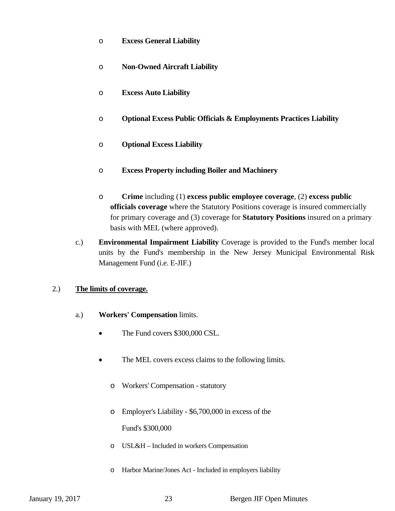- o **Excess General Liability**
- o **Non-Owned Aircraft Liability**
- o **Excess Auto Liability**
- o **Optional Excess Public Officials & Employments Practices Liability**
- o **Optional Excess Liability**
- o **Excess Property including Boiler and Machinery**
- o **Crime** including (1) **excess public employee coverage**, (2) **excess public officials coverage** where the Statutory Positions coverage is insured commercially for primary coverage and (3) coverage for **Statutory Positions** insured on a primary basis with MEL (where approved).
- c.) **Environmental Impairment Liability** Coverage is provided to the Fund's member local units by the Fund's membership in the New Jersey Municipal Environmental Risk Management Fund (i.e. E-JIF.)

### 2.) **The limits of coverage.**

- a.) **Workers' Compensation** limits.
	- The Fund covers \$300,000 CSL.
	- The MEL covers excess claims to the following limits.
		- o Workers' Compensation statutory
		- o Employer's Liability \$6,700,000 in excess of the

Fund's \$300,000

- o USL&H Included in workers Compensation
- o Harbor Marine/Jones Act Included in employers liability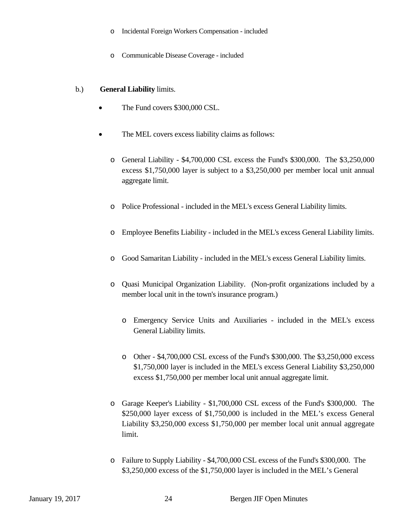- o Incidental Foreign Workers Compensation included
- o Communicable Disease Coverage included

#### b.) **General Liability** limits.

- The Fund covers \$300,000 CSL.
- The MEL covers excess liability claims as follows:
	- o General Liability \$4,700,000 CSL excess the Fund's \$300,000. The \$3,250,000 excess \$1,750,000 layer is subject to a \$3,250,000 per member local unit annual aggregate limit.
	- o Police Professional included in the MEL's excess General Liability limits.
	- o Employee Benefits Liability included in the MEL's excess General Liability limits.
	- o Good Samaritan Liability included in the MEL's excess General Liability limits.
	- o Quasi Municipal Organization Liability. (Non-profit organizations included by a member local unit in the town's insurance program.)
		- o Emergency Service Units and Auxiliaries included in the MEL's excess General Liability limits.
		- o Other \$4,700,000 CSL excess of the Fund's \$300,000. The \$3,250,000 excess \$1,750,000 layer is included in the MEL's excess General Liability \$3,250,000 excess \$1,750,000 per member local unit annual aggregate limit.
	- o Garage Keeper's Liability \$1,700,000 CSL excess of the Fund's \$300,000. The \$250,000 layer excess of \$1,750,000 is included in the MEL's excess General Liability \$3,250,000 excess \$1,750,000 per member local unit annual aggregate limit.
	- o Failure to Supply Liability \$4,700,000 CSL excess of the Fund's \$300,000. The \$3,250,000 excess of the \$1,750,000 layer is included in the MEL's General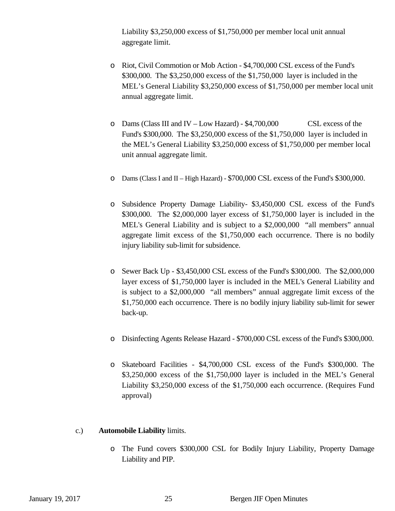Liability \$3,250,000 excess of \$1,750,000 per member local unit annual aggregate limit.

- o Riot, Civil Commotion or Mob Action \$4,700,000 CSL excess of the Fund's \$300,000. The \$3,250,000 excess of the \$1,750,000 layer is included in the MEL's General Liability \$3,250,000 excess of \$1,750,000 per member local unit annual aggregate limit.
- o Dams (Class III and IV Low Hazard) \$4,700,000 CSL excess of the Fund's \$300,000. The \$3,250,000 excess of the \$1,750,000 layer is included in the MEL's General Liability \$3,250,000 excess of \$1,750,000 per member local unit annual aggregate limit.
- o Dams (Class I and II High Hazard) \$700,000 CSL excess of the Fund's \$300,000.
- o Subsidence Property Damage Liability- \$3,450,000 CSL excess of the Fund's \$300,000. The \$2,000,000 layer excess of \$1,750,000 layer is included in the MEL's General Liability and is subject to a \$2,000,000 "all members" annual aggregate limit excess of the \$1,750,000 each occurrence. There is no bodily injury liability sub-limit for subsidence.
- o Sewer Back Up \$3,450,000 CSL excess of the Fund's \$300,000. The \$2,000,000 layer excess of \$1,750,000 layer is included in the MEL's General Liability and is subject to a \$2,000,000 "all members" annual aggregate limit excess of the \$1,750,000 each occurrence. There is no bodily injury liability sub-limit for sewer back-up.
- o Disinfecting Agents Release Hazard \$700,000 CSL excess of the Fund's \$300,000.
- o Skateboard Facilities \$4,700,000 CSL excess of the Fund's \$300,000. The \$3,250,000 excess of the \$1,750,000 layer is included in the MEL's General Liability \$3,250,000 excess of the \$1,750,000 each occurrence. (Requires Fund approval)

#### c.) **Automobile Liability** limits.

o The Fund covers \$300,000 CSL for Bodily Injury Liability, Property Damage Liability and PIP.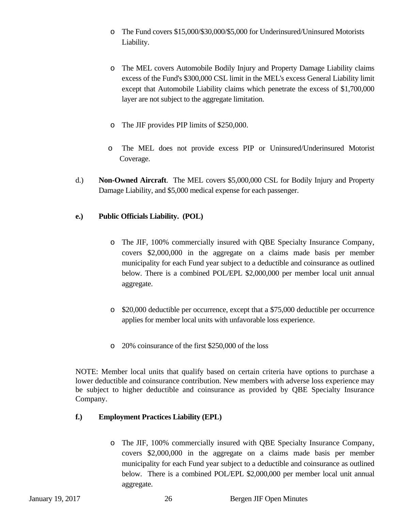- o The Fund covers \$15,000/\$30,000/\$5,000 for Underinsured/Uninsured Motorists Liability.
- o The MEL covers Automobile Bodily Injury and Property Damage Liability claims excess of the Fund's \$300,000 CSL limit in the MEL's excess General Liability limit except that Automobile Liability claims which penetrate the excess of \$1,700,000 layer are not subject to the aggregate limitation.
- o The JIF provides PIP limits of \$250,000.
- o The MEL does not provide excess PIP or Uninsured/Underinsured Motorist Coverage.
- d.) **Non-Owned Aircraft**. The MEL covers \$5,000,000 CSL for Bodily Injury and Property Damage Liability, and \$5,000 medical expense for each passenger.

### **e.) Public Officials Liability. (POL)**

- o The JIF, 100% commercially insured with QBE Specialty Insurance Company, covers \$2,000,000 in the aggregate on a claims made basis per member municipality for each Fund year subject to a deductible and coinsurance as outlined below. There is a combined POL/EPL \$2,000,000 per member local unit annual aggregate.
- o \$20,000 deductible per occurrence, except that a \$75,000 deductible per occurrence applies for member local units with unfavorable loss experience.
- o 20% coinsurance of the first \$250,000 of the loss

NOTE: Member local units that qualify based on certain criteria have options to purchase a lower deductible and coinsurance contribution. New members with adverse loss experience may be subject to higher deductible and coinsurance as provided by QBE Specialty Insurance Company.

#### **f.) Employment Practices Liability (EPL)**

o The JIF, 100% commercially insured with QBE Specialty Insurance Company, covers \$2,000,000 in the aggregate on a claims made basis per member municipality for each Fund year subject to a deductible and coinsurance as outlined below. There is a combined POL/EPL \$2,000,000 per member local unit annual aggregate.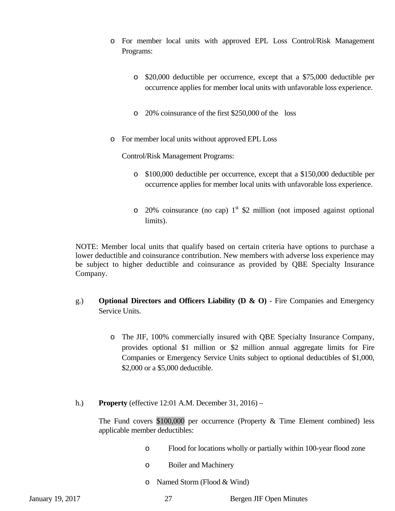- o For member local units with approved EPL Loss Control/Risk Management Programs:
	- o \$20,000 deductible per occurrence, except that a \$75,000 deductible per occurrence applies for member local units with unfavorable loss experience.
	- o 20% coinsurance of the first \$250,000 of the loss
- o For member local units without approved EPL Loss

Control/Risk Management Programs:

- o \$100,000 deductible per occurrence, except that a \$150,000 deductible per occurrence applies for member local units with unfavorable loss experience.
- $\circ$  20% coinsurance (no cap) 1<sup>st</sup> \$2 million (not imposed against optional limits).

NOTE: Member local units that qualify based on certain criteria have options to purchase a lower deductible and coinsurance contribution. New members with adverse loss experience may be subject to higher deductible and coinsurance as provided by QBE Specialty Insurance Company.

- g.) **Optional Directors and Officers Liability (D & O)**  Fire Companies and Emergency Service Units.
	- o The JIF, 100% commercially insured with QBE Specialty Insurance Company, provides optional \$1 million or \$2 million annual aggregate limits for Fire Companies or Emergency Service Units subject to optional deductibles of \$1,000, \$2,000 or a \$5,000 deductible.
- h.) **Property** (effective 12:01 A.M. December 31, 2016) –

The Fund covers \$100,000 per occurrence (Property & Time Element combined) less applicable member deductibles:

- o Flood for locations wholly or partially within 100-year flood zone
- o Boiler and Machinery
- o Named Storm (Flood & Wind)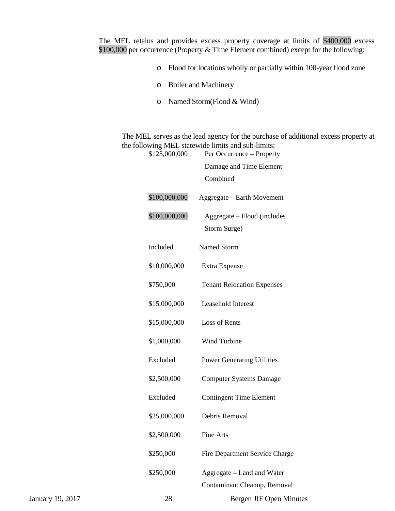The MEL retains and provides excess property coverage at limits of \$400,000 excess \$100,000 per occurrence (Property & Time Element combined) except for the following:

- o Flood for locations wholly or partially within 100-year flood zone
- o Boiler and Machinery
- o Named Storm(Flood & Wind)

The MEL serves as the lead agency for the purchase of additional excess property at the following MEL statewide limits and sub-limits:<br>\$125,000,000 Per Occurrence – Propert

|                  | \$125,000,000 | Per Occurrence – Property         |
|------------------|---------------|-----------------------------------|
|                  |               | Damage and Time Element           |
|                  |               | Combined                          |
|                  | \$100,000,000 | Aggregate - Earth Movement        |
|                  | \$100,000,000 | Aggregate - Flood (includes       |
|                  |               | Storm Surge)                      |
|                  | Included      | Named Storm                       |
|                  | \$10,000,000  | Extra Expense                     |
|                  | \$750,000     | <b>Tenant Relocation Expenses</b> |
|                  | \$15,000,000  | Leasehold Interest                |
|                  | \$15,000,000  | Loss of Rents                     |
|                  | \$1,000,000   | Wind Turbine                      |
|                  | Excluded      | <b>Power Generating Utilities</b> |
|                  | \$2,500,000   | <b>Computer Systems Damage</b>    |
|                  | Excluded      | <b>Contingent Time Element</b>    |
|                  | \$25,000,000  | Debris Removal                    |
|                  | \$2,500,000   | <b>Fine Arts</b>                  |
|                  | \$250,000     | Fire Department Service Charge    |
|                  | \$250,000     | Aggregate – Land and Water        |
|                  |               | Contaminant Cleanup, Removal      |
| January 19, 2017 | 28            | <b>Bergen JIF Open Minutes</b>    |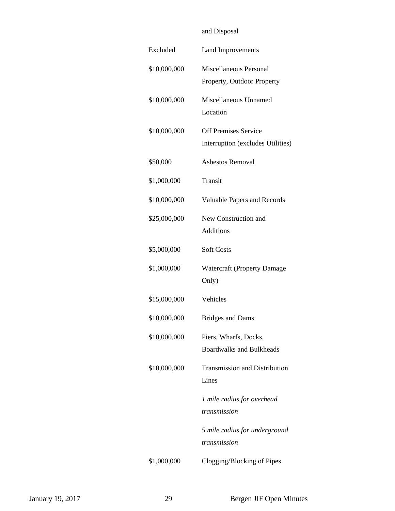# and Disposal Excluded Land Improvements \$10,000,000 Miscellaneous Personal Property, Outdoor Property \$10,000,000 Miscellaneous Unnamed Location \$10,000,000 Off Premises Service Interruption (excludes Utilities) \$50,000 Asbestos Removal \$1,000,000 Transit \$10,000,000 Valuable Papers and Records \$25,000,000 New Construction and Additions \$5,000,000 Soft Costs \$1,000,000 Watercraft (Property Damage Only) \$15,000,000 Vehicles \$10,000,000 Bridges and Dams \$10,000,000 Piers, Wharfs, Docks, Boardwalks and Bulkheads \$10,000,000 Transmission and Distribution Lines *1 mile radius for overhead transmission 5 mile radius for underground transmission* \$1,000,000 Clogging/Blocking of Pipes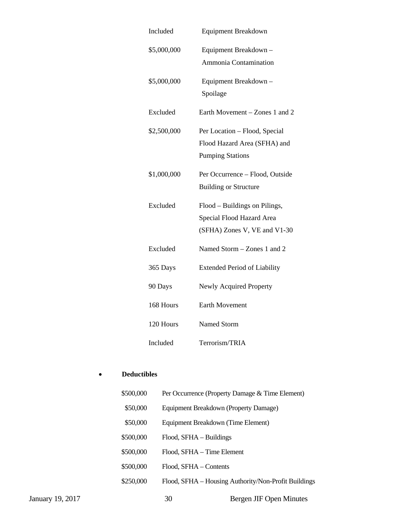| Included    | <b>Equipment Breakdown</b>                                                                 |
|-------------|--------------------------------------------------------------------------------------------|
| \$5,000,000 | Equipment Breakdown -<br>Ammonia Contamination                                             |
| \$5,000,000 | Equipment Breakdown -<br>Spoilage                                                          |
| Excluded    | Earth Movement – Zones 1 and 2                                                             |
| \$2,500,000 | Per Location – Flood, Special<br>Flood Hazard Area (SFHA) and<br><b>Pumping Stations</b>   |
| \$1,000,000 | Per Occurrence - Flood, Outside<br><b>Building or Structure</b>                            |
| Excluded    | Flood - Buildings on Pilings,<br>Special Flood Hazard Area<br>(SFHA) Zones V, VE and V1-30 |
| Excluded    | Named Storm – Zones 1 and 2                                                                |
| 365 Days    | <b>Extended Period of Liability</b>                                                        |
| 90 Days     | Newly Acquired Property                                                                    |
| 168 Hours   | <b>Earth Movement</b>                                                                      |
| 120 Hours   | <b>Named Storm</b>                                                                         |
| Included    | Terrorism/TRIA                                                                             |

# **Deductibles**

|                  | \$500,000 |                                       | Per Occurrence (Property Damage & Time Element)      |
|------------------|-----------|---------------------------------------|------------------------------------------------------|
|                  | \$50,000  | Equipment Breakdown (Property Damage) |                                                      |
|                  | \$50,000  | Equipment Breakdown (Time Element)    |                                                      |
|                  | \$500,000 | Flood, SFHA – Buildings               |                                                      |
|                  | \$500,000 | Flood, SFHA – Time Element            |                                                      |
|                  | \$500,000 | Flood, SFHA - Contents                |                                                      |
|                  | \$250,000 |                                       | Flood, SFHA – Housing Authority/Non-Profit Buildings |
| January 19, 2017 |           | 30                                    | Bergen JIF Open Minutes                              |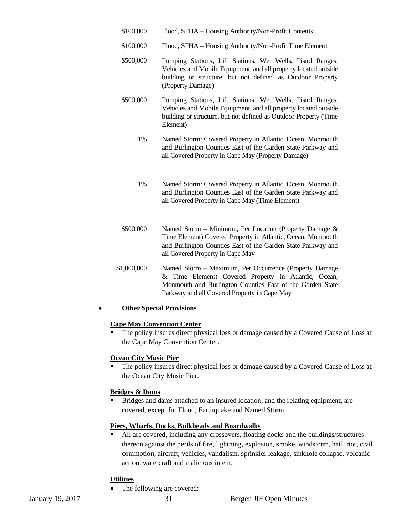- \$100,000 Flood, SFHA Housing Authority/Non-Profit Contents
- \$100,000 Flood, SFHA Housing Authority/Non-Profit Time Element
- \$500,000 Pumping Stations, Lift Stations, Wet Wells, Pistol Ranges, Vehicles and Mobile Equipment, and all property located outside building or structure, but not defined as Outdoor Property (Property Damage)
- \$500,000 Pumping Stations, Lift Stations, Wet Wells, Pistol Ranges, Vehicles and Mobile Equipment, and all property located outside building or structure, but not defined as Outdoor Property (Time Element)
	- 1% Named Storm: Covered Property in Atlantic, Ocean, Monmouth and Burlington Counties East of the Garden State Parkway and all Covered Property in Cape May (Property Damage)
	- 1% Named Storm: Covered Property in Atlantic, Ocean, Monmouth and Burlington Counties East of the Garden State Parkway and all Covered Property in Cape May (Time Element)
- \$500,000 Named Storm Minimum, Per Location (Property Damage & Time Element) Covered Property in Atlantic, Ocean, Monmouth and Burlington Counties East of the Garden State Parkway and all Covered Property in Cape May
- \$1,000,000 Named Storm Maximum, Per Occurrence (Property Damage & Time Element) Covered Property in Atlantic, Ocean, Monmouth and Burlington Counties East of the Garden State Parkway and all Covered Property in Cape May

#### **Other Special Provisions**

#### **Cape May Convention Center**

 The policy insures direct physical loss or damage caused by a Covered Cause of Loss at the Cape May Convention Center.

#### **Ocean City Music Pier**

 The policy insures direct physical loss or damage caused by a Covered Cause of Loss at the Ocean City Music Pier.

#### **Bridges & Dams**

 Bridges and dams attached to an insured location, and the relating equipment, are covered, except for Flood, Earthquake and Named Storm.

#### **Piers, Wharfs, Docks, Bulkheads and Boardwalks**

 All are covered, including any crossovers, floating docks and the buildings/structures thereon against the perils of fire, lightning, explosion, smoke, windstorm, hail, riot, civil commotion, aircraft, vehicles, vandalism, sprinkler leakage, sinkhole collapse, volcanic action, watercraft and malicious intent.

#### **Utilities**

• The following are covered: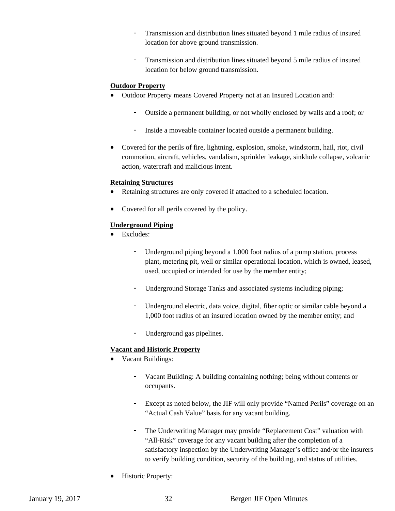- Transmission and distribution lines situated beyond 1 mile radius of insured location for above ground transmission.
- Transmission and distribution lines situated beyond 5 mile radius of insured location for below ground transmission.

#### **Outdoor Property**

- Outdoor Property means Covered Property not at an Insured Location and:
	- Outside a permanent building, or not wholly enclosed by walls and a roof; or
	- Inside a moveable container located outside a permanent building.
- Covered for the perils of fire, lightning, explosion, smoke, windstorm, hail, riot, civil commotion, aircraft, vehicles, vandalism, sprinkler leakage, sinkhole collapse, volcanic action, watercraft and malicious intent.

#### **Retaining Structures**

- Retaining structures are only covered if attached to a scheduled location.
- Covered for all perils covered by the policy.

#### **Underground Piping**

- Excludes:
	- Underground piping beyond a 1,000 foot radius of a pump station, process plant, metering pit, well or similar operational location, which is owned, leased, used, occupied or intended for use by the member entity;
	- Underground Storage Tanks and associated systems including piping;
	- Underground electric, data voice, digital, fiber optic or similar cable beyond a 1,000 foot radius of an insured location owned by the member entity; and
	- Underground gas pipelines.

#### **Vacant and Historic Property**

- Vacant Buildings:
	- Vacant Building: A building containing nothing; being without contents or occupants.
	- Except as noted below, the JIF will only provide "Named Perils" coverage on an "Actual Cash Value" basis for any vacant building.
	- The Underwriting Manager may provide "Replacement Cost" valuation with "All-Risk" coverage for any vacant building after the completion of a satisfactory inspection by the Underwriting Manager's office and/or the insurers to verify building condition, security of the building, and status of utilities.
- Historic Property: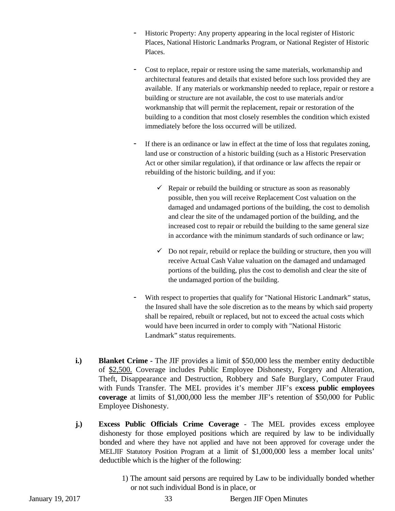- Historic Property: Any property appearing in the local register of Historic Places, National Historic Landmarks Program, or National Register of Historic Places.
- Cost to replace, repair or restore using the same materials, workmanship and architectural features and details that existed before such loss provided they are available. If any materials or workmanship needed to replace, repair or restore a building or structure are not available, the cost to use materials and/or workmanship that will permit the replacement, repair or restoration of the building to a condition that most closely resembles the condition which existed immediately before the loss occurred will be utilized.
- If there is an ordinance or law in effect at the time of loss that regulates zoning, land use or construction of a historic building (such as a Historic Preservation Act or other similar regulation), if that ordinance or law affects the repair or rebuilding of the historic building, and if you:
	- $\checkmark$  Repair or rebuild the building or structure as soon as reasonably possible, then you will receive Replacement Cost valuation on the damaged and undamaged portions of the building, the cost to demolish and clear the site of the undamaged portion of the building, and the increased cost to repair or rebuild the building to the same general size in accordance with the minimum standards of such ordinance or law;
	- $\checkmark$  Do not repair, rebuild or replace the building or structure, then you will receive Actual Cash Value valuation on the damaged and undamaged portions of the building, plus the cost to demolish and clear the site of the undamaged portion of the building.
- With respect to properties that qualify for "National Historic Landmark" status, the Insured shall have the sole discretion as to the means by which said property shall be repaired, rebuilt or replaced, but not to exceed the actual costs which would have been incurred in order to comply with "National Historic Landmark" status requirements.
- **i.)** Blanket Crime The JIF provides a limit of \$50,000 less the member entity deductible of \$2,500. Coverage includes Public Employee Dishonesty, Forgery and Alteration, Theft, Disappearance and Destruction, Robbery and Safe Burglary, Computer Fraud with Funds Transfer. The MEL provides it's member JIF's e**xcess public employees coverage** at limits of \$1,000,000 less the member JIF's retention of \$50,000 for Public Employee Dishonesty.
- **j.) Excess Public Officials Crime Coverage** The MEL provides excess employee dishonesty for those employed positions which are required by law to be individually bonded and where they have not applied and have not been approved for coverage under the MELJIF Statutory Position Program at a limit of \$1,000,000 less a member local units' deductible which is the higher of the following:
	- 1) The amount said persons are required by Law to be individually bonded whether or not such individual Bond is in place, or

January 19, 2017 33 Bergen JIF Open Minutes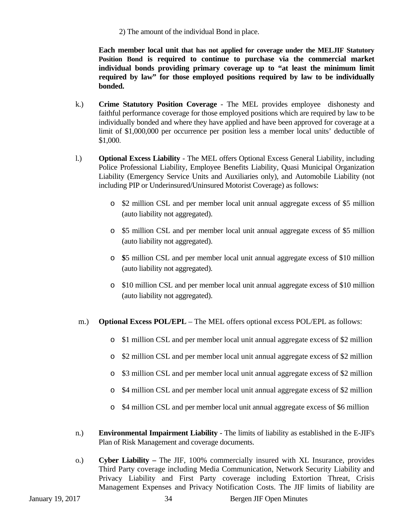2) The amount of the individual Bond in place.

**Each member local unit that has not applied for coverage under the MELJIF Statutory Position Bond is required to continue to purchase via the commercial market individual bonds providing primary coverage up to "at least the minimum limit required by law" for those employed positions required by law to be individually bonded.** 

- k.) **Crime Statutory Position Coverage**  The MEL provides employee dishonesty and faithful performance coverage for those employed positions which are required by law to be individually bonded and where they have applied and have been approved for coverage at a limit of \$1,000,000 per occurrence per position less a member local units' deductible of \$1,000.
- l.) **Optional Excess Liability** The MEL offers Optional Excess General Liability, including Police Professional Liability, Employee Benefits Liability, Quasi Municipal Organization Liability (Emergency Service Units and Auxiliaries only), and Automobile Liability (not including PIP or Underinsured/Uninsured Motorist Coverage) as follows:
	- o \$2 million CSL and per member local unit annual aggregate excess of \$5 million (auto liability not aggregated).
	- o \$5 million CSL and per member local unit annual aggregate excess of \$5 million (auto liability not aggregated).
	- o **\$**5 million CSL and per member local unit annual aggregate excess of \$10 million (auto liability not aggregated).
	- o \$10 million CSL and per member local unit annual aggregate excess of \$10 million (auto liability not aggregated).
- m.) **Optional Excess POL/EPL** The MEL offers optional excess POL/EPL as follows:
	- o \$1 million CSL and per member local unit annual aggregate excess of \$2 million
	- o \$2 million CSL and per member local unit annual aggregate excess of \$2 million
	- o \$3 million CSL and per member local unit annual aggregate excess of \$2 million
	- o \$4 million CSL and per member local unit annual aggregate excess of \$2 million
	- o \$4 million CSL and per member local unit annual aggregate excess of \$6 million
- n.) **Environmental Impairment Liability** The limits of liability as established in the E-JIF's Plan of Risk Management and coverage documents.
- o.) **Cyber Liability** The JIF, 100% commercially insured with XL Insurance, provides Third Party coverage including Media Communication, Network Security Liability and Privacy Liability and First Party coverage including Extortion Threat, Crisis Management Expenses and Privacy Notification Costs. The JIF limits of liability are

January 19, 2017 34 Bergen JIF Open Minutes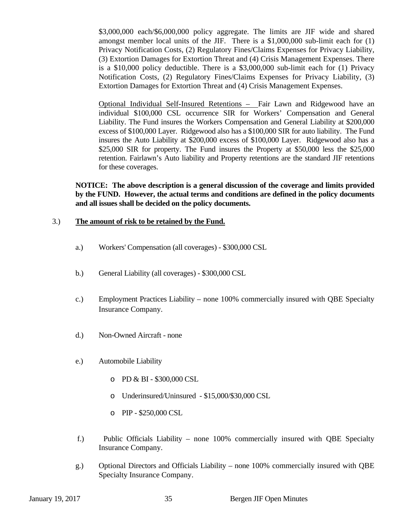\$3,000,000 each/\$6,000,000 policy aggregate. The limits are JIF wide and shared amongst member local units of the JIF. There is a \$1,000,000 sub-limit each for (1) Privacy Notification Costs, (2) Regulatory Fines/Claims Expenses for Privacy Liability, (3) Extortion Damages for Extortion Threat and (4) Crisis Management Expenses. There is a \$10,000 policy deductible. There is a \$3,000,000 sub-limit each for (1) Privacy Notification Costs, (2) Regulatory Fines/Claims Expenses for Privacy Liability, (3) Extortion Damages for Extortion Threat and (4) Crisis Management Expenses.

Optional Individual Self-Insured Retentions – Fair Lawn and Ridgewood have an individual \$100,000 CSL occurrence SIR for Workers' Compensation and General Liability. The Fund insures the Workers Compensation and General Liability at \$200,000 excess of \$100,000 Layer. Ridgewood also has a \$100,000 SIR for auto liability. The Fund insures the Auto Liability at \$200,000 excess of \$100,000 Layer. Ridgewood also has a \$25,000 SIR for property. The Fund insures the Property at \$50,000 less the \$25,000 retention. Fairlawn's Auto liability and Property retentions are the standard JIF retentions for these coverages.

**NOTICE: The above description is a general discussion of the coverage and limits provided by the FUND. However, the actual terms and conditions are defined in the policy documents and all issues shall be decided on the policy documents.** 

#### 3.) **The amount of risk to be retained by the Fund.**

- a.) Workers' Compensation (all coverages) \$300,000 CSL
- b.) General Liability (all coverages) \$300,000 CSL
- c.) Employment Practices Liability none 100% commercially insured with QBE Specialty Insurance Company.
- d.) Non-Owned Aircraft none
- e.) Automobile Liability
	- o PD & BI \$300,000 CSL
	- o Underinsured/Uninsured \$15,000/\$30,000 CSL
	- o PIP \$250,000 CSL
- f.) Public Officials Liability none 100% commercially insured with QBE Specialty Insurance Company.
- g.) Optional Directors and Officials Liability none 100% commercially insured with QBE Specialty Insurance Company.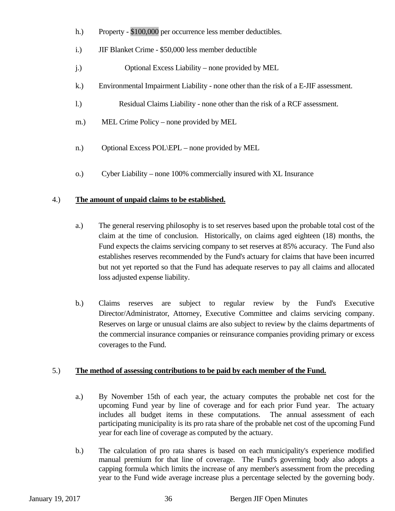- h.) Property \$100,000 per occurrence less member deductibles.
- i.) JIF Blanket Crime \$50,000 less member deductible
- j.) Optional Excess Liability none provided by MEL
- k.) Environmental Impairment Liability none other than the risk of a E-JIF assessment.
- l.) Residual Claims Liability none other than the risk of a RCF assessment.
- m.) MEL Crime Policy none provided by MEL
- n.) Optional Excess POL\EPL none provided by MEL
- o.) Cyber Liability none 100% commercially insured with XL Insurance

### 4.) **The amount of unpaid claims to be established.**

- a.) The general reserving philosophy is to set reserves based upon the probable total cost of the claim at the time of conclusion. Historically, on claims aged eighteen (18) months, the Fund expects the claims servicing company to set reserves at 85% accuracy. The Fund also establishes reserves recommended by the Fund's actuary for claims that have been incurred but not yet reported so that the Fund has adequate reserves to pay all claims and allocated loss adjusted expense liability.
- b.) Claims reserves are subject to regular review by the Fund's Executive Director/Administrator, Attorney, Executive Committee and claims servicing company. Reserves on large or unusual claims are also subject to review by the claims departments of the commercial insurance companies or reinsurance companies providing primary or excess coverages to the Fund.

### 5.) **The method of assessing contributions to be paid by each member of the Fund.**

- a.) By November 15th of each year, the actuary computes the probable net cost for the upcoming Fund year by line of coverage and for each prior Fund year. The actuary includes all budget items in these computations. The annual assessment of each participating municipality is its pro rata share of the probable net cost of the upcoming Fund year for each line of coverage as computed by the actuary.
- b.) The calculation of pro rata shares is based on each municipality's experience modified manual premium for that line of coverage. The Fund's governing body also adopts a capping formula which limits the increase of any member's assessment from the preceding year to the Fund wide average increase plus a percentage selected by the governing body.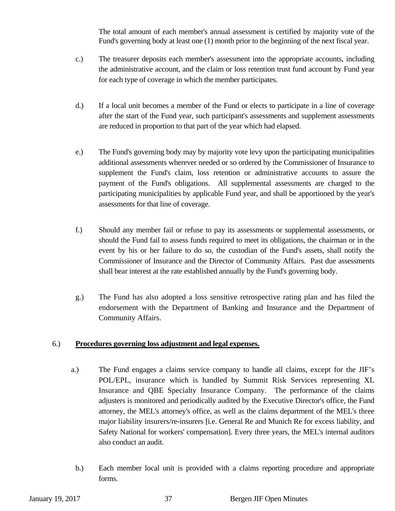The total amount of each member's annual assessment is certified by majority vote of the Fund's governing body at least one (1) month prior to the beginning of the next fiscal year.

- c.) The treasurer deposits each member's assessment into the appropriate accounts, including the administrative account, and the claim or loss retention trust fund account by Fund year for each type of coverage in which the member participates.
- d.) If a local unit becomes a member of the Fund or elects to participate in a line of coverage after the start of the Fund year, such participant's assessments and supplement assessments are reduced in proportion to that part of the year which had elapsed.
- e.) The Fund's governing body may by majority vote levy upon the participating municipalities additional assessments wherever needed or so ordered by the Commissioner of Insurance to supplement the Fund's claim, loss retention or administrative accounts to assure the payment of the Fund's obligations. All supplemental assessments are charged to the participating municipalities by applicable Fund year, and shall be apportioned by the year's assessments for that line of coverage.
- f.) Should any member fail or refuse to pay its assessments or supplemental assessments, or should the Fund fail to assess funds required to meet its obligations, the chairman or in the event by his or her failure to do so, the custodian of the Fund's assets, shall notify the Commissioner of Insurance and the Director of Community Affairs. Past due assessments shall bear interest at the rate established annually by the Fund's governing body.
- g.) The Fund has also adopted a loss sensitive retrospective rating plan and has filed the endorsement with the Department of Banking and Insurance and the Department of Community Affairs.

#### 6.) **Procedures governing loss adjustment and legal expenses.**

- a.) The Fund engages a claims service company to handle all claims, except for the JIF's POL/EPL, insurance which is handled by Summit Risk Services representing XL Insurance and QBE Specialty Insurance Company. The performance of the claims adjusters is monitored and periodically audited by the Executive Director's office, the Fund attorney, the MEL's attorney's office, as well as the claims department of the MEL's three major liability insurers/re-insurers [i.e. General Re and Munich Re for excess liability, and Safety National for workers' compensation]. Every three years, the MEL's internal auditors also conduct an audit.
- b.) Each member local unit is provided with a claims reporting procedure and appropriate forms.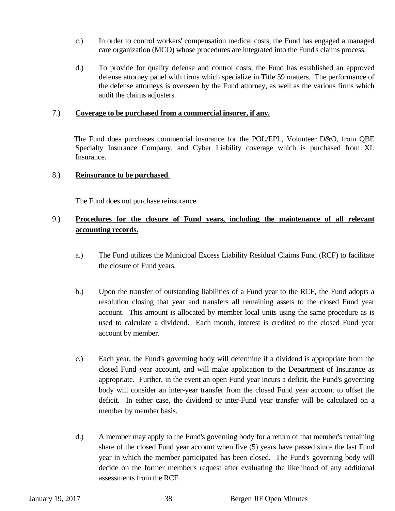- c.) In order to control workers' compensation medical costs, the Fund has engaged a managed care organization (MCO) whose procedures are integrated into the Fund's claims process.
- d.) To provide for quality defense and control costs, the Fund has established an approved defense attorney panel with firms which specialize in Title 59 matters. The performance of the defense attorneys is overseen by the Fund attorney, as well as the various firms which audit the claims adjusters.

#### 7.) **Coverage to be purchased from a commercial insurer, if any.**

 The Fund does purchases commercial insurance for the POL/EPL, Volunteer D&O, from QBE Specialty Insurance Company, and Cyber Liability coverage which is purchased from XL Insurance.

#### 8.) **Reinsurance to be purchased**.

The Fund does not purchase reinsurance.

#### 9.) **Procedures for the closure of Fund years, including the maintenance of all relevant accounting records.**

- a.) The Fund utilizes the Municipal Excess Liability Residual Claims Fund (RCF) to facilitate the closure of Fund years.
- b.) Upon the transfer of outstanding liabilities of a Fund year to the RCF, the Fund adopts a resolution closing that year and transfers all remaining assets to the closed Fund year account. This amount is allocated by member local units using the same procedure as is used to calculate a dividend. Each month, interest is credited to the closed Fund year account by member.
- c.) Each year, the Fund's governing body will determine if a dividend is appropriate from the closed Fund year account, and will make application to the Department of Insurance as appropriate. Further, in the event an open Fund year incurs a deficit, the Fund's governing body will consider an inter-year transfer from the closed Fund year account to offset the deficit. In either case, the dividend or inter-Fund year transfer will be calculated on a member by member basis.
- d.) A member may apply to the Fund's governing body for a return of that member's remaining share of the closed Fund year account when five (5) years have passed since the last Fund year in which the member participated has been closed. The Fund's governing body will decide on the former member's request after evaluating the likelihood of any additional assessments from the RCF.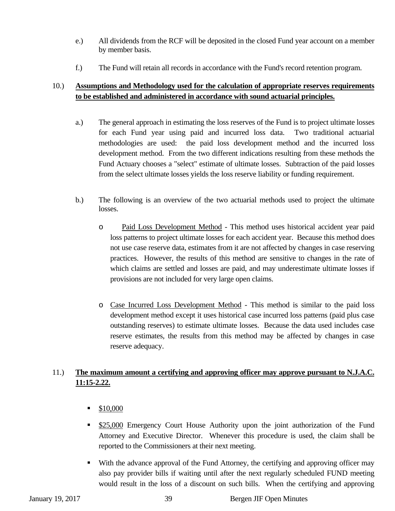- e.) All dividends from the RCF will be deposited in the closed Fund year account on a member by member basis.
- f.) The Fund will retain all records in accordance with the Fund's record retention program.

### 10.) **Assumptions and Methodology used for the calculation of appropriate reserves requirements to be established and administered in accordance with sound actuarial principles.**

- a.) The general approach in estimating the loss reserves of the Fund is to project ultimate losses for each Fund year using paid and incurred loss data. Two traditional actuarial methodologies are used: the paid loss development method and the incurred loss development method. From the two different indications resulting from these methods the Fund Actuary chooses a "select" estimate of ultimate losses. Subtraction of the paid losses from the select ultimate losses yields the loss reserve liability or funding requirement.
- b.) The following is an overview of the two actuarial methods used to project the ultimate losses.
	- o Paid Loss Development Method This method uses historical accident year paid loss patterns to project ultimate losses for each accident year. Because this method does not use case reserve data, estimates from it are not affected by changes in case reserving practices. However, the results of this method are sensitive to changes in the rate of which claims are settled and losses are paid, and may underestimate ultimate losses if provisions are not included for very large open claims.
	- o Case Incurred Loss Development Method This method is similar to the paid loss development method except it uses historical case incurred loss patterns (paid plus case outstanding reserves) to estimate ultimate losses. Because the data used includes case reserve estimates, the results from this method may be affected by changes in case reserve adequacy.

# 11.) **The maximum amount a certifying and approving officer may approve pursuant to N.J.A.C. 11:15-2.22.**

- \$10,000
- \$25,000 Emergency Court House Authority upon the joint authorization of the Fund Attorney and Executive Director. Whenever this procedure is used, the claim shall be reported to the Commissioners at their next meeting.
- With the advance approval of the Fund Attorney, the certifying and approving officer may also pay provider bills if waiting until after the next regularly scheduled FUND meeting would result in the loss of a discount on such bills. When the certifying and approving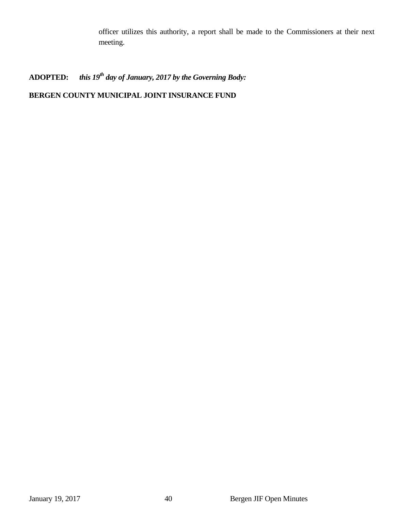officer utilizes this authority, a report shall be made to the Commissioners at their next meeting.

# ADOPTED: *this 19<sup>th</sup> day of January, 2017 by the Governing Body:*

# **BERGEN COUNTY MUNICIPAL JOINT INSURANCE FUND**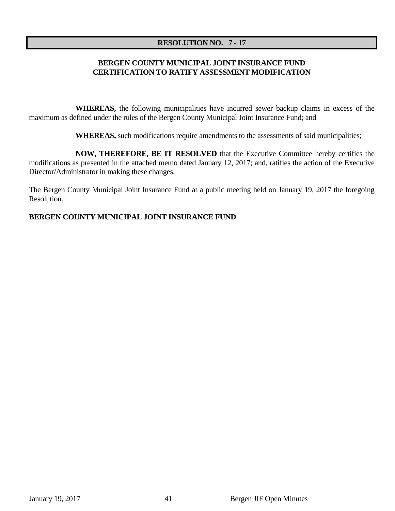#### **RESOLUTION NO. 7 - 17**

#### **BERGEN COUNTY MUNICIPAL JOINT INSURANCE FUND CERTIFICATION TO RATIFY ASSESSMENT MODIFICATION**

 **WHEREAS,** the following municipalities have incurred sewer backup claims in excess of the maximum as defined under the rules of the Bergen County Municipal Joint Insurance Fund; and

 **WHEREAS,** such modifications require amendments to the assessments of said municipalities;

 **NOW, THEREFORE, BE IT RESOLVED** that the Executive Committee hereby certifies the modifications as presented in the attached memo dated January 12, 2017; and, ratifies the action of the Executive Director/Administrator in making these changes.

The Bergen County Municipal Joint Insurance Fund at a public meeting held on January 19, 2017 the foregoing Resolution.

#### **BERGEN COUNTY MUNICIPAL JOINT INSURANCE FUND**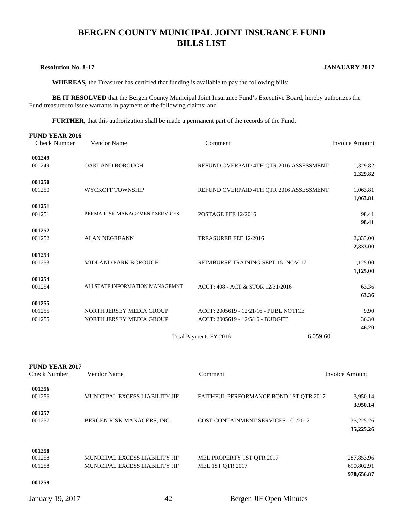# **BERGEN COUNTY MUNICIPAL JOINT INSURANCE FUND BILLS LIST**

#### **Resolution No. 8-17 JANAUARY 2017**

 **WHEREAS,** the Treasurer has certified that funding is available to pay the following bills:

**BE IT RESOLVED** that the Bergen County Municipal Joint Insurance Fund's Executive Board, hereby authorizes the Fund treasurer to issue warrants in payment of the following claims; and

**FURTHER**, that this authorization shall be made a permanent part of the records of the Fund.

| <b>FUND YEAR 2016</b> |                                |                                         |                       |
|-----------------------|--------------------------------|-----------------------------------------|-----------------------|
| <b>Check Number</b>   | <b>Vendor Name</b>             | Comment                                 | <b>Invoice Amount</b> |
| 001249                |                                |                                         |                       |
| 001249                | OAKLAND BOROUGH                | REFUND OVERPAID 4TH QTR 2016 ASSESSMENT | 1,329.82              |
|                       |                                |                                         | 1,329.82              |
| 001250                |                                |                                         |                       |
| 001250                | WYCKOFF TOWNSHIP               | REFUND OVERPAID 4TH QTR 2016 ASSESSMENT | 1,063.81              |
|                       |                                |                                         | 1,063.81              |
| 001251<br>001251      | PERMA RISK MANAGEMENT SERVICES | POSTAGE FEE 12/2016                     | 98.41                 |
|                       |                                |                                         | 98.41                 |
| 001252                |                                |                                         |                       |
| 001252                | <b>ALAN NEGREANN</b>           | TREASURER FEE 12/2016                   | 2,333.00              |
|                       |                                |                                         | 2,333.00              |
| 001253                |                                |                                         |                       |
| 001253                | MIDLAND PARK BOROUGH           | REIMBURSE TRAINING SEPT 15 -NOV-17      | 1,125.00              |
|                       |                                |                                         | 1,125.00              |
| 001254                |                                |                                         |                       |
| 001254                | ALLSTATE INFORMATION MANAGEMNT | ACCT: 408 - ACT & STOR 12/31/2016       | 63.36                 |
|                       |                                |                                         | 63.36                 |
| 001255<br>001255      | NORTH JERSEY MEDIA GROUP       | ACCT: 2005619 - 12/21/16 - PUBL NOTICE  | 9.90                  |
| 001255                | NORTH JERSEY MEDIA GROUP       | ACCT: 2005619 - 12/5/16 - BUDGET        | 36.30                 |
|                       |                                |                                         | 46.20                 |
|                       |                                | 6,059.60<br>Total Payments FY 2016      |                       |
|                       |                                |                                         |                       |
| <b>FUND YEAR 2017</b> |                                |                                         |                       |
| <b>Check Number</b>   | Vendor Name                    | Comment                                 | <b>Invoice Amount</b> |
| 001256                |                                |                                         |                       |
| 001256                | MUNICIPAL EXCESS LIABILITY JIF | FAITHFUL PERFORMANCE BOND 1ST QTR 2017  | 3,950.14              |
|                       |                                |                                         | 3,950.14              |
| 001257                |                                |                                         |                       |
| 001257                | BERGEN RISK MANAGERS, INC.     | COST CONTAINMENT SERVICES - 01/2017     | 35,225.26             |
|                       |                                |                                         | 35,225.26             |
| 001258                |                                |                                         |                       |
| 001258                | MUNICIPAL EXCESS LIABILITY JIF | MEL PROPERTY 1ST QTR 2017               | 287,853.96            |
| 001258                | MUNICIPAL EXCESS LIABILITY JIF | MEL 1ST QTR 2017                        | 690,802.91            |
|                       |                                |                                         | 978,656.87            |
| 001259                |                                |                                         |                       |